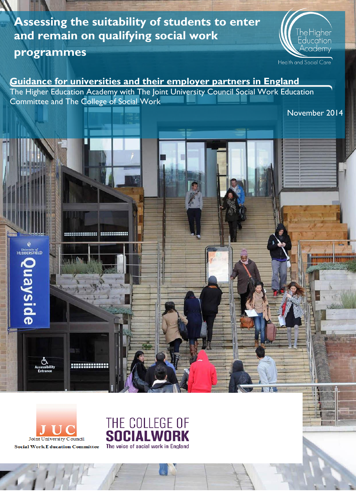# **Assessing the suitability of students to enter and remain on qualifying social work**

# **programmes**

University of<br>HUDDERSFIELD

Quayside



Health and Social Care

November 2014

# **Guidance for universities and their employer partners in England**

The Higher Education Academy with The Joint University Council Social Work Education Committee and The College of Social Work

Joint University Council **Social Work E ducation Committee** 

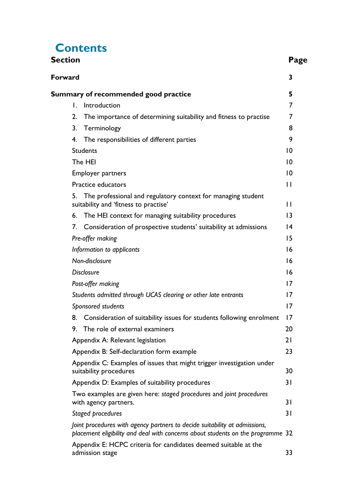# **Contents**

| Section                                                                                                                                                       | Page            |
|---------------------------------------------------------------------------------------------------------------------------------------------------------------|-----------------|
| Forward                                                                                                                                                       | 3               |
| Summary of recommended good practice                                                                                                                          | 5               |
| Introduction<br>L.                                                                                                                                            | 7               |
| 2.<br>The importance of determining suitability and fitness to practise                                                                                       | 7               |
| 3.<br>Terminology                                                                                                                                             | 8               |
| The responsibilities of different parties<br>4.                                                                                                               | 9               |
| <b>Students</b>                                                                                                                                               | $\overline{0}$  |
| The HEI                                                                                                                                                       | $ 0\rangle$     |
| <b>Employer partners</b>                                                                                                                                      | $ 0\rangle$     |
| Practice educators                                                                                                                                            | $\mathsf{L}$    |
| 5.<br>The professional and regulatory context for managing student<br>suitability and 'fitness to practise'                                                   | $\mathsf{L}$    |
| The HEI context for managing suitability procedures<br>6.                                                                                                     | $\overline{13}$ |
| Consideration of prospective students' suitability at admissions<br>7.                                                                                        | $\overline{14}$ |
| Pre-offer making                                                                                                                                              | 15              |
| Information to applicants                                                                                                                                     | 16              |
| Non-disclosure                                                                                                                                                | 16              |
| <b>Disclosure</b>                                                                                                                                             | 16              |
| Post-offer making                                                                                                                                             | 17              |
| Students admitted through UCAS clearing or other late entrants                                                                                                | 17              |
| Sponsored students                                                                                                                                            | 17              |
| Consideration of suitability issues for students following enrolment<br>8.                                                                                    | 17              |
| The role of external examiners<br>9.                                                                                                                          | 20              |
| Appendix A: Relevant legislation                                                                                                                              | 21              |
| Appendix B: Self-declaration form example                                                                                                                     | 23              |
| Appendix C: Examples of issues that might trigger investigation under<br>suitability procedures                                                               | 30              |
| Appendix D: Examples of suitability procedures                                                                                                                | 31              |
| Two examples are given here: staged procedures and joint procedures<br>with agency partners.                                                                  | 31              |
| Staged procedures                                                                                                                                             | 31              |
| Joint procedures with agency partners to decide suitability at admissions,<br>placement eligibility and deal with concerns about students on the programme 32 |                 |
| Appendix E: HCPC criteria for candidates deemed suitable at the<br>admission stage                                                                            | 33              |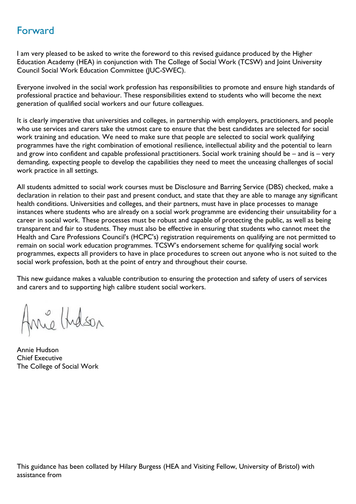# <span id="page-2-0"></span>Forward

I am very pleased to be asked to write the foreword to this revised guidance produced by the Higher Education Academy (HEA) in conjunction with The College of Social Work (TCSW) and Joint University Council Social Work Education Committee (JUC-SWEC).

Everyone involved in the social work profession has responsibilities to promote and ensure high standards of professional practice and behaviour. These responsibilities extend to students who will become the next generation of qualified social workers and our future colleagues.

It is clearly imperative that universities and colleges, in partnership with employers, practitioners, and people who use services and carers take the utmost care to ensure that the best candidates are selected for social work training and education. We need to make sure that people are selected to social work qualifying programmes have the right combination of emotional resilience, intellectual ability and the potential to learn and grow into confident and capable professional practitioners. Social work training should be – and is – very demanding, expecting people to develop the capabilities they need to meet the unceasing challenges of social work practice in all settings.

All students admitted to social work courses must be Disclosure and Barring Service (DBS) checked, make a declaration in relation to their past and present conduct, and state that they are able to manage any significant health conditions. Universities and colleges, and their partners, must have in place processes to manage instances where students who are already on a social work programme are evidencing their unsuitability for a career in social work. These processes must be robust and capable of protecting the public, as well as being transparent and fair to students. They must also be effective in ensuring that students who cannot meet the Health and Care Professions Council's (HCPC's) registration requirements on qualifying are not permitted to remain on social work education programmes. TCSW's endorsement scheme for qualifying social work programmes, expects all providers to have in place procedures to screen out anyone who is not suited to the social work profession, both at the point of entry and throughout their course.

This new guidance makes a valuable contribution to ensuring the protection and safety of users of services and carers and to supporting high calibre student social workers.

Anne Hidson

Annie Hudson Chief Executive The College of Social Work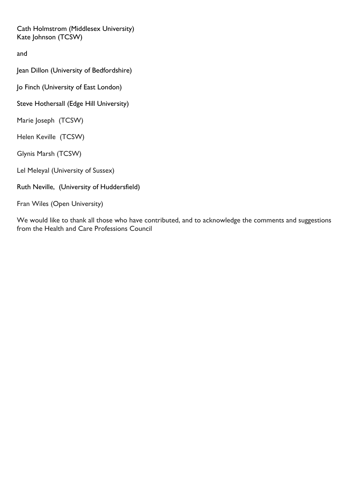Cath Holmstrom (Middlesex University) Kate Johnson (TCSW)

and

Jean Dillon (University of Bedfordshire)

Jo Finch (University of East London)

Steve Hothersall (Edge Hill University)

Marie Joseph (TCSW)

Helen Keville (TCSW)

Glynis Marsh (TCSW)

Lel Meleyal (University of Sussex)

Ruth Neville, (University of Huddersfield)

Fran Wiles (Open University)

We would like to thank all those who have contributed, and to acknowledge the comments and suggestions from the Health and Care Professions Council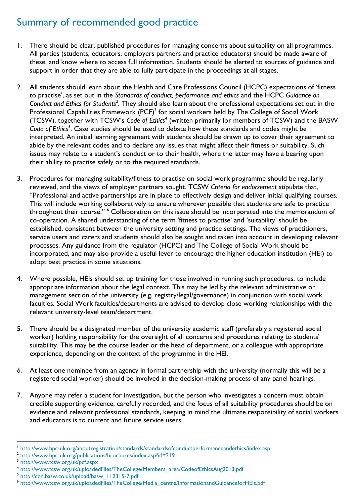# <span id="page-4-0"></span>Summary of recommended good practice

- 1. There should be clear, published procedures for managing concerns about suitability on all programmes. All parties (students, educators, employers partners and practice educators) should be made aware of these, and know where to access full information. Students should be alerted to sources of guidance and support in order that they are able to fully participate in the proceedings at all stages.
- 2. All students should learn about the Health and Care Professions Council (HCPC) expectations of 'fitness to practise', as set out in the *Standards of conduct, performance and ethics<sup>1</sup>* and the HCPC *Guidance on*  Conduct and Ethics for Students<sup>2</sup>. They should also learn about the professional expectations set out in the Professional Capabilities Framework (PCF) $^3$  for social workers held by The College of Social Work (TCSW), together with TCSW's *Code of Ethics<sup>4</sup>* (written primarily for members of TCSW) and the BASW *Code of Ethics<sup>5</sup>* . Case studies should be used to debate how these standards and codes might be interpreted. An initial learning agreement with students should be drawn up to cover their agreement to abide by the relevant codes and to declare any issues that might affect their fitness or suitability. Such issues may relate to a student's conduct or to their health, where the latter may have a bearing upon their ability to practise safely or to the required standards.
- 3. Procedures for managing suitability/fitness to practise on social work programme should be regularly reviewed, and the views of employer partners sought. TCSW *Criteria for endorsement* stipulate that, "Professional and active partnerships are in place to effectively design and deliver initial qualifying courses. This will include working collaboratively to ensure wherever possible that students are safe to practice throughout their course." <sup>6</sup> Collaboration on this issue should be incorporated into the memorandum of co-operation. A shared understanding of the term 'fitness to practise' and 'suitability' should be established, consistent between the university setting and practice settings. The views of practitioners, service users and carers and students should also be sought and taken into account in developing relevant processes. Any guidance from the regulator (HCPC) and The College of Social Work should be incorporated, and may also provide a useful lever to encourage the higher education institution (HEI) to adopt best practice in some situations.
- 4. Where possible, HEIs should set up training for those involved in running such procedures, to include appropriate information about the legal context. This may be led by the relevant administrative or management section of the university (e.g. registry/legal/governance) in conjunction with social work faculties. Social Work faculties/departments are advised to develop close working relationships with the relevant university-level team/department.
- 5. There should be a designated member of the university academic staff (preferably a registered social worker) holding responsibility for the oversight of all concerns and procedures relating to students' suitability. This may be the course leader or the head of department, or a colleague with appropriate experience, depending on the context of the programme in the HEI.
- *6.* At least one nominee from an agency in formal partnership with the university (normally this will be a registered social worker) should be involved in the decision-making process of any panel hearings*.*
- 7. Anyone may refer a student for investigation, but the person who investigates a concern must obtain credible supporting evidence, carefully recorded, and the focus of all suitability procedures should be on evidence and relevant professional standards, keeping in mind the ultimate responsibility of social workers and educators is to current and future service users.

 $\overline{a}$ 

5 [http://cdn.basw.co.uk/upload/basw\\_112315-7.pdf](http://cdn.basw.co.uk/upload/basw_112315-7.pdf)

<sup>1</sup> <http://www.hpc-uk.org/aboutregistration/standards/standardsofconductperformanceandethics/index.asp>

<sup>&</sup>lt;sup>2</sup> <http://www.hpc-uk.org/publications/brochures/index.asp?id=219>

<sup>3</sup> <http://www.tcsw.org.uk/pcf.aspx>

<sup>4</sup> [http://www.tcsw.org.uk/uploadedFiles/TheCollege/Members\\_area/CodeofEthicsAug2013.pdf](http://www.tcsw.org.uk/uploadedFiles/TheCollege/Members_area/CodeofEthicsAug2013.pdf)

<sup>6</sup> [http://www.tcsw.org.uk/uploadedFiles/TheCollege/Media\\_centre/InformationandGuidanceforHEIs.pdf](http://www.tcsw.org.uk/uploadedFiles/TheCollege/Media_centre/InformationandGuidanceforHEIs.pdf)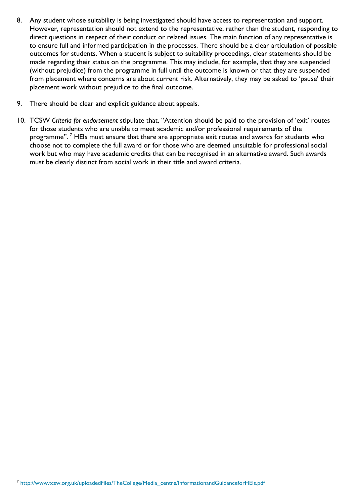- 8. Any student whose suitability is being investigated should have access to representation and support. However, representation should not extend to the representative, rather than the student, responding to direct questions in respect of their conduct or related issues. The main function of any representative is to ensure full and informed participation in the processes. There should be a clear articulation of possible outcomes for students. When a student is subject to suitability proceedings, clear statements should be made regarding their status on the programme. This may include, for example, that they are suspended (without prejudice) from the programme in full until the outcome is known or that they are suspended from placement where concerns are about current risk. Alternatively, they may be asked to 'pause' their placement work without prejudice to the final outcome.
- 9. There should be clear and explicit guidance about appeals.
- 10. TCSW *Criteria for endorsement* stipulate that, "Attention should be paid to the provision of 'exit' routes for those students who are unable to meet academic and/or professional requirements of the programme".<sup>7</sup> HEIs must ensure that there are appropriate exit routes and awards for students who choose not to complete the full award or for those who are deemed unsuitable for professional social work but who may have academic credits that can be recognised in an alternative award. Such awards must be clearly distinct from social work in their title and award criteria.

l

<sup>&</sup>lt;sup>7</sup> [http://www.tcsw.org.uk/uploadedFiles/TheCollege/Media\\_centre/InformationandGuidanceforHEIs.pdf](http://www.tcsw.org.uk/uploadedFiles/TheCollege/Media_centre/InformationandGuidanceforHEIs.pdf)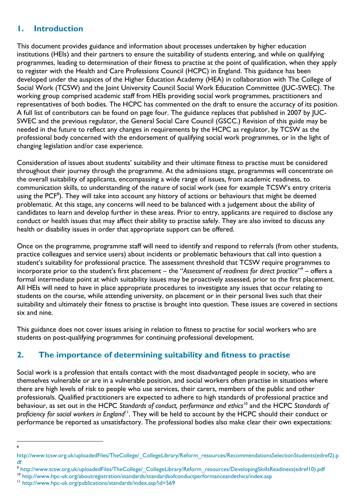### <span id="page-6-0"></span>**1. Introduction**

This document provides guidance and information about processes undertaken by higher education institutions (HEIs) and their partners to ensure the suitability of students entering, and while on qualifying programmes, leading to determination of their fitness to practise at the point of qualification, when they apply to register with the Health and Care Professions Council (HCPC) in England. This guidance has been developed under the auspices of the Higher Education Academy (HEA) in collaboration with The College of Social Work (TCSW) and the Joint University Council Social Work Education Committee (JUC-SWEC). The working group comprised academic staff from HEIs providing social work programmes, practitioners and representatives of both bodies. The HCPC has commented on the draft to ensure the accuracy of its position. A full list of contributors can be found on page four. The guidance replaces that published in 2007 by JUC-SWEC and the previous regulator, the General Social Care Council (GSCC.) Revision of this guide may be needed in the future to reflect any changes in requirements by the HCPC as regulator, by TCSW as the professional body concerned with the endorsement of qualifying social work programmes, or in the light of changing legislation and/or case experience.

Consideration of issues about students' suitability and their ultimate fitness to practise must be considered throughout their journey through the programme. At the admissions stage, programmes will concentrate on the overall suitability of applicants, encompassing a wide range of issues, from academic readiness, to communication skills, to understanding of the nature of social work (see for example TCSW's entry criteria using the  $PCF^8$ ). They will take into account any history of actions or behaviours that might be deemed problematic. At this stage, any concerns will need to be balanced with a judgement about the ability of candidates to learn and develop further in these areas. Prior to entry, applicants are required to disclose any conduct or health issues that may affect their ability to practise safely. They are also invited to discuss any health or disability issues in order that appropriate support can be offered.

Once on the programme, programme staff will need to identify and respond to referrals (from other students, practice colleagues and service users) about incidents or problematic behaviours that call into question a student's suitability for professional practice. The assessment threshold that TCSW require programmes to incorporate prior to the student's first placement – the "*Assessment of readiness for direct practice*" 9 – offers a formal intermediate point at which suitability issues may be proactively assessed, prior to the first placement. All HEIs will need to have in place appropriate procedures to investigate any issues that occur relating to students on the course, while attending university, on placement or in their personal lives such that their suitability and ultimately their fitness to practise is brought into question. These issues are covered in sections six and nine.

This guidance does not cover issues arising in relation to fitness to practise for social workers who are students on post-qualifying programmes for continuing professional development.

### <span id="page-6-1"></span>**2. The importance of determining suitability and fitness to practise**

Social work is a profession that entails contact with the most disadvantaged people in society, who are themselves vulnerable or are in a vulnerable position, and social workers often practise in situations where there are high levels of risk to people who use services, their carers, members of the public and other professionals. Qualified practitioners are expected to adhere to high standards of professional practice and behaviour, as set out in the HCPC *Standards of conduct, performance and ethics*<sup>10</sup> and the HCPC *Standards of proficiency for social workers in England<sup>11</sup>*. They will be held to account by the HCPC should their conduct or performance be reported as unsatisfactory. The professional bodies also make clear their own expectations:

 $\overline{a}$ 8

[http://www.tcsw.org.uk/uploadedFiles/TheCollege/\\_CollegeLibrary/Reform\\_resources/RecommendationsSelectionStudents\(edref2\).p](http://www.tcsw.org.uk/uploadedFiles/TheCollege/_CollegeLibrary/Reform_resources/RecommendationsSelectionStudents(edref2).pdf) [df](http://www.tcsw.org.uk/uploadedFiles/TheCollege/_CollegeLibrary/Reform_resources/RecommendationsSelectionStudents(edref2).pdf)

<sup>9</sup> [http://www.tcsw.org.uk/uploadedFiles/TheCollege/\\_CollegeLibrary/Reform\\_resources/DevelopingSkillsReadiness\(edref10\).pdf](http://www.tcsw.org.uk/uploadedFiles/TheCollege/_CollegeLibrary/Reform_resources/DevelopingSkillsReadiness(edref10).pdf)

<sup>10</sup> <http://www.hpc-uk.org/aboutregistration/standards/standardsofconductperformanceandethics/index.asp>

<sup>11</sup> <http://www.hpc-uk.org/publications/standards/index.asp?id=569>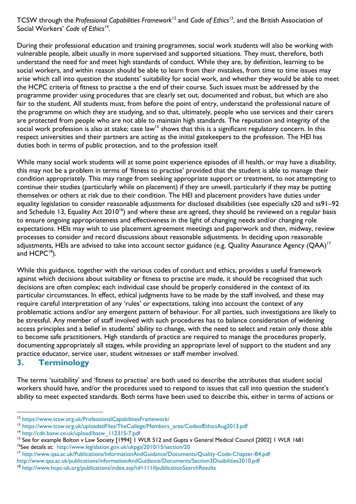TCSW through the *Professional Capabilities Framework*<sup>12</sup> and *Code of Ethics*<sup>13</sup>, and the British Association of Social Workers' *Code of Ethics*<sup>14</sup> .

During their professional education and training programmes, social work students will also be working with vulnerable people, albeit usually in more supervised and supported situations. They must, therefore, both understand the need for and meet high standards of conduct. While they are, by definition, learning to be social workers, and within reason should be able to learn from their mistakes, from time to time issues may arise which call into question the students' suitability for social work, and whether they would be able to meet the HCPC criteria of fitness to practise a the end of their course. Such issues must be addressed by the programme provider using procedures that are clearly set out, documented and robust, but which are also fair to the student. All students must, from before the point of entry, understand the professional nature of the programme on which they are studying, and so that, ultimately, people who use services and their carers are protected from people who are not able to maintain high standards. The reputation and integrity of the social work profession is also at stake; case law<sup>15</sup> shows that this is a significant regulatory concern. In this respect universities and their partners are acting as the initial gatekeepers to the profession. The HEI has duties both in terms of public protection, and to the profession itself.

While many social work students will at some point experience episodes of ill health, or may have a disability, this may not be a problem in terms of 'fitness to practise' provided that the student is able to manage their condition appropriately. This may range from seeking appropriate support or treatment, to not attempting to continue their studies (particularly while on placement) if they are unwell, particularly if they may be putting themselves or others at risk due to their condition. The HEI and placement providers have duties under equality legislation to consider reasonable adjustments for disclosed disabilities (see especially s20 and ss91–92 and Schedule 13, Equality Act 2010<sup>16</sup>) and where these are agreed, they should be reviewed on a regular basis to ensure ongoing appropriateness and effectiveness in the light of changing needs and/or changing role expectations. HEIs may wish to use placement agreement meetings and paperwork and then, midway, review processes to consider and record discussions about reasonable adjustments. In deciding upon reasonable adjustments, HEIs are advised to take into account sector guidance (e.g. Quality Assurance Agency (QAA) $^{\mathsf{I}7}$ and  $HCPC^{18}$ ).

While this guidance, together with the various codes of conduct and ethics, provides a useful framework against which decisions about suitability or fitness to practise are made, it should be recognised that such decisions are often complex; each individual case should be properly considered in the context of its particular circumstances. In effect, ethical judgments have to be made by the staff involved, and these may require careful interpretation of any 'rules' or expectations, taking into account the context of any problematic actions and/or any emergent pattern of behaviour. For all parties, such investigations are likely to be stressful. Any member of staff involved with such procedures has to balance consideration of widening access principles and a belief in students' ability to change, with the need to select and retain only those able to become safe practitioners. High standards of practice are required to manage the procedures properly, documenting appropriately all stages, while providing an appropriate level of support to the student and any practice educator, service user, student witnesses or staff member involved.

### <span id="page-7-0"></span>**3. Terminology**

 $\overline{a}$ 

The terms 'suitability' and 'fitness to practise' are both used to describe the attributes that student social workers should have, and/or the procedures used to respond to issues that call into question the student's ability to meet expected standards. Both terms have been used to describe this, either in terms of actions or

<sup>12</sup> <https://www.tcsw.org.uk/ProfessionalCapabilitiesFramework/>

<sup>13</sup> [https://www.tcsw.org.uk/uploadedFiles/TheCollege/Members\\_area/CodeofEthicsAug2013.pdf](https://www.tcsw.org.uk/uploadedFiles/TheCollege/Members_area/CodeofEthicsAug2013.pdf)

<sup>14</sup> [http://cdn.basw.co.uk/upload/basw\\_112315-7.pdf](http://cdn.basw.co.uk/upload/basw_112315-7.pdf)

<sup>&</sup>lt;sup>15</sup> See for example Bolton v Law Society [1994] 1 WLR 512 and Gupta v General Medical Council [2002] 1 WLR 1681 <sup>16</sup>See details at: <http://www.legislation.gov.uk/ukpga/2010/15/section/20>

<sup>17</sup> <http://www.qaa.ac.uk/Publications/InformationAndGuidance/Documents/Quality-Code-Chapter-B4.pdf>

<http://www.qaa.ac.uk/publications/informationAndGuidance/Documents/Section3Disabilities2010.pdf>

<sup>18</sup> <http://www.hcpc-uk.org/publications/index.asp?id=111#publicationSearchResults>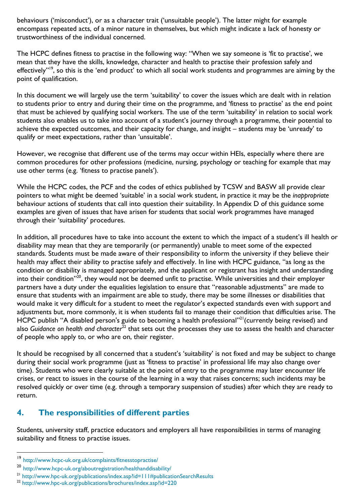behaviours ('misconduct'), or as a character trait ('unsuitable people'). The latter might for example encompass repeated acts, of a minor nature in themselves, but which might indicate a lack of honesty or trustworthiness of the individual concerned.

The HCPC defines fitness to practise in the following way: "When we say someone is 'fit to practise', we mean that they have the skills, knowledge, character and health to practise their profession safely and effectively"<sup>19</sup>, so this is the 'end product' to which all social work students and programmes are aiming by the point of qualification.

In this document we will largely use the term 'suitability' to cover the issues which are dealt with in relation to students prior to entry and during their time on the programme, and 'fitness to practise' as the end point that must be achieved by qualifying social workers. The use of the term 'suitability' in relation to social work students also enables us to take into account of a student's journey through a programme, their potential to achieve the expected outcomes, and their capacity for change, and insight – students may be 'unready' to qualify or meet expectations, rather than 'unsuitable'.

However, we recognise that different use of the terms may occur within HEIs, especially where there are common procedures for other professions (medicine, nursing, psychology or teaching for example that may use other terms (e.g. 'fitness to practise panels').

While the HCPC codes, the PCF and the codes of ethics published by TCSW and BASW all provide clear pointers to what might be deemed 'suitable' in a social work student, in practice it may be the *inappropriate* behaviour actions of students that call into question their suitability. In Appendix D of this guidance some examples are given of issues that have arisen for students that social work programmes have managed through their 'suitability' procedures.

In addition, all procedures have to take into account the extent to which the impact of a student's ill health or disability may mean that they are temporarily (or permanently) unable to meet some of the expected standards. Students must be made aware of their responsibility to inform the university if they believe their health may affect their ability to practise safely and effectively. In line with HCPC guidance, "as long as the condition or disability is managed appropriately, and the applicant or registrant has insight and understanding into their condition"<sup>20</sup>, they would not be deemed unfit to practise. While universities and their employer partners have a duty under the equalities legislation to ensure that "reasonable adjustments" are made to ensure that students with an impairment are able to study, there may be some illnesses or disabilities that would make it very difficult for a student to meet the regulator's expected standards even with support and adjustments but, more commonly, it is when students fail to manage their condition that difficulties arise. The HCPC publish "A disabled person's guide to becoming a health professional"<sup>21</sup> (currently being revised) and also Guidance on health and character<sup>22</sup> that sets out the processes they use to assess the health and character of people who apply to, or who are on, their register.

It should be recognised by all concerned that a student's 'suitability' is not fixed and may be subject to change during their social work programme (just as 'fitness to practise' in professional life may also change over time). Students who were clearly suitable at the point of entry to the programme may later encounter life crises, or react to issues in the course of the learning in a way that raises concerns; such incidents may be resolved quickly or over time (e.g. through a temporary suspension of studies) after which they are ready to return.

### <span id="page-8-0"></span>**4. The responsibilities of different parties**

Students, university staff, practice educators and employers all have responsibilities in terms of managing suitability and fitness to practise issues.

l

<sup>19</sup> http://www.hcpc-uk.org.uk/complaints/fitnesstopractise/

<sup>20</sup> http://www.hcpc-uk.org/aboutregistration/healthanddisability/

<sup>21</sup> <http://www.hpc-uk.org/publications/index.asp?id=111#publicationSearchResults>

<sup>22</sup> <http://www.hpc-uk.org/publications/brochures/index.asp?id=220>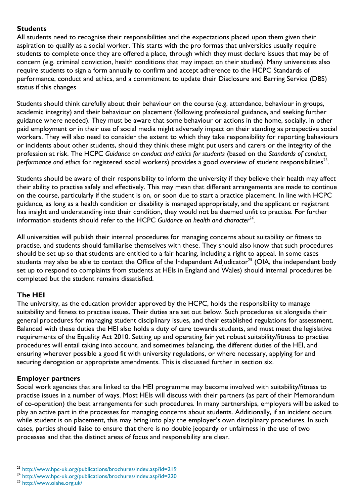#### <span id="page-9-0"></span>**Students**

All students need to recognise their responsibilities and the expectations placed upon them given their aspiration to qualify as a social worker. This starts with the pro formas that universities usually require students to complete once they are offered a place, through which they must declare issues that may be of concern (e.g. criminal conviction, health conditions that may impact on their studies). Many universities also require students to sign a form annually to confirm and accept adherence to the HCPC Standards of performance, conduct and ethics, and a commitment to update their Disclosure and Barring Service (DBS) status if this changes

Students should think carefully about their behaviour on the course (e.g. attendance, behaviour in groups, academic integrity) and their behaviour on placement (following professional guidance, and seeking further guidance where needed). They must be aware that some behaviour or actions in the home, socially, in other paid employment or in their use of social media might adversely impact on their standing as prospective social workers. They will also need to consider the extent to which they take responsibility for reporting behaviours or incidents about other students, should they think these might put users and carers or the integrity of the profession at risk. The HCPC *Guidance on conduct and ethics for students* (based on the *Standards of conduct,*  performance and ethics for registered social workers) provides a good overview of student responsibilities<sup>23</sup>.

Students should be aware of their responsibility to inform the university if they believe their health may affect their ability to practise safely and effectively. This may mean that different arrangements are made to continue on the course, particularly if the student is on, or soon due to start a practice placement. In line with HCPC guidance, as long as a health condition or disability is managed appropriately, and the applicant or registrant has insight and understanding into their condition, they would not be deemed unfit to practise. For further information students should refer to the HCPC *Guidance on health and character<sup>24</sup> .*

All universities will publish their internal procedures for managing concerns about suitability or fitness to practise, and students should familiarise themselves with these. They should also know that such procedures should be set up so that students are entitled to a fair hearing, including a right to appeal. In some cases students may also be able to contact the Office of the Independent Adjudicator<sup>25</sup> (OIA, the independent body set up to respond to complaints from students at HEIs in England and Wales) should internal procedures be completed but the student remains dissatisfied.

### <span id="page-9-1"></span>**The HEI**

The university, as the education provider approved by the HCPC, holds the responsibility to manage suitability and fitness to practise issues. Their duties are set out below. Such procedures sit alongside their general procedures for managing student disciplinary issues, and their established regulations for assessment. Balanced with these duties the HEI also holds a duty of care towards students, and must meet the legislative requirements of the Equality Act 2010. Setting up and operating fair yet robust suitability/fitness to practise procedures will entail taking into account, and sometimes balancing, the different duties of the HEI, and ensuring wherever possible a good fit with university regulations, or where necessary, applying for and securing derogation or appropriate amendments. This is discussed further in section six.

#### <span id="page-9-2"></span>**Employer partners**

Social work agencies that are linked to the HEI programme may become involved with suitability/fitness to practise issues in a number of ways. Most HEIs will discuss with their partners (as part of their Memorandum of co-operation) the best arrangements for such procedures. In many partnerships, employers will be asked to play an active part in the processes for managing concerns about students. Additionally, if an incident occurs while student is on placement, this may bring into play the employer's own disciplinary procedures. In such cases, parties should liaise to ensure that there is no double jeopardy or unfairness in the use of two processes and that the distinct areas of focus and responsibility are clear.

 $\overline{a}$ 

<sup>23</sup> <http://www.hpc-uk.org/publications/brochures/index.asp?id=219>

<sup>24</sup> <http://www.hpc-uk.org/publications/brochures/index.asp?id=220>

<sup>25</sup> <http://www.oiahe.org.uk/>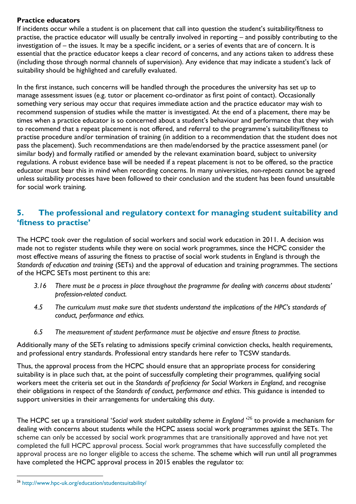#### <span id="page-10-0"></span>**Practice educators**

If incidents occur while a student is on placement that call into question the student's suitability/fitness to practise, the practice educator will usually be centrally involved in reporting – and possibly contributing to the investigation of – the issues. It may be a specific incident, or a series of events that are of concern. It is essential that the practice educator keeps a clear record of concerns, and any actions taken to address these (including those through normal channels of supervision). Any evidence that may indicate a student's lack of suitability should be highlighted and carefully evaluated.

In the first instance, such concerns will be handled through the procedures the university has set up to manage assessment issues (e.g. tutor or placement co-ordinator as first point of contact). Occasionally something very serious may occur that requires immediate action and the practice educator may wish to recommend suspension of studies while the matter is investigated. At the end of a placement, there may be times when a practice educator is so concerned about a student's behaviour and performance that they wish to recommend that a repeat placement is not offered, and referral to the programme's suitability/fitness to practise procedure and/or termination of training (in addition to a recommendation that the student does not pass the placement). Such recommendations are then made/endorsed by the practice assessment panel (or similar body) and formally ratified or amended by the relevant examination board, subject to university regulations. A robust evidence base will be needed if a repeat placement is not to be offered, so the practice educator must bear this in mind when recording concerns. In many universities, *non-repeats* cannot be agreed unless suitability processes have been followed to their conclusion and the student has been found unsuitable for social work training.

### <span id="page-10-1"></span>**5. The professional and regulatory context for managing student suitability and 'fitness to practise'**

The HCPC took over the regulation of social workers and social work education in 2011. A decision was made not to register students while they were on social work programmes, since the HCPC consider the most effective means of assuring the fitness to practise of social work students in England is through the *Standards of education and training* (SETs) and the approval of education and training programmes. The sections of the HCPC SETs most pertinent to this are:

- *3.16 There must be a process in place throughout the programme for dealing with concerns about students' profession-related conduct.*
- *4.5 The curriculum must make sure that students understand the implications of the HPC's standards of conduct, performance and ethics.*
- *6.5 The measurement of student performance must be objective and ensure fitness to practise.*

Additionally many of the SETs relating to admissions specify criminal conviction checks, health requirements, and professional entry standards. Professional entry standards here refer to TCSW standards.

Thus, the approval process from the HCPC should ensure that an appropriate process for considering suitability is in place such that, at the point of successfully completing their programmes, qualifying social workers meet the criteria set out in the *Standards of proficiency for Social Workers in England*, and recognise their obligations in respect of the *Standards of conduct, performance and ethics*. This guidance is intended to support universities in their arrangements for undertaking this duty.

The HCPC set up a transitional '*Social work student suitability scheme in England* ' <sup>26</sup> to provide a mechanism for dealing with concerns about students while the HCPC assess social work programmes against the SETs. The scheme can only be accessed by social work programmes that are transitionally approved and have not yet completed the full HCPC approval process. Social work programmes that have successfully completed the approval process are no longer eligible to access the scheme. The scheme which will run until all programmes have completed the HCPC approval process in 2015 enables the regulator to:

l

<sup>26</sup> <http://www.hpc-uk.org/education/studentsuitability/>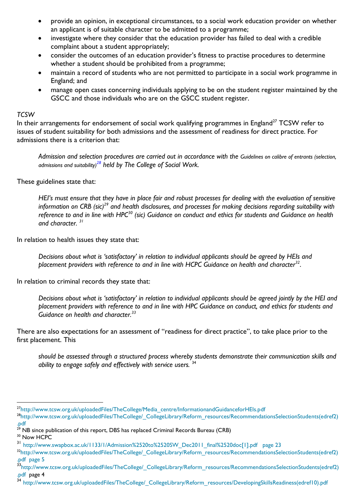- provide an opinion, in exceptional circumstances, to a social work education provider on whether an applicant is of suitable character to be admitted to a programme;
- investigate where they consider that the education provider has failed to deal with a credible complaint about a student appropriately;
- consider the outcomes of an education provider's fitness to practise procedures to determine whether a student should be prohibited from a programme;
- maintain a record of students who are not permitted to participate in a social work programme in England; and
- manage open cases concerning individuals applying to be on the student register maintained by the GSCC and those individuals who are on the GSCC student register.

#### *TCSW*

In their arrangements for endorsement of social work qualifying programmes in England<sup>27</sup> TCSW refer to issues of student suitability for both admissions and the assessment of readiness for direct practice. For admissions there is a criterion that:

Admission and selection procedures are carried out in accordance with the Guidelines on calibre of entrants (selection, *[admissions and suitability\)](http://www.collegeofsocialwork.org/uploadedFiles/TheCollege/_CollegeLibrary/Reform_resources/RecommendationsSelectionStudents(edref2).pdf)<sup>28</sup> held by The College of Social Work.*

These guidelines state that:

*HEI's must ensure that they have in place fair and robust processes for dealing with the evaluation of sensitive information on CRB (sic)<sup>29</sup> and health disclosures, and processes for making decisions regarding suitability with reference to and in line with HPC<sup>30</sup> (sic) Guidance on conduct and ethics for students and Guidance on health and character. <sup>31</sup>*

In relation to health issues they state that:

*Decisions about what is 'satisfactory' in relation to individual applicants should be agreed by HEIs and placement providers with reference to and in line with HCPC Guidance on health and character<sup>32</sup>* .

In relation to criminal records they state that:

*Decisions about what is 'satisfactory' in relation to individual applicants should be agreed jointly by the HEI and placement providers with reference to and in line with HPC Guidance on conduct, and ethics for students and Guidance on health and character.<sup>33</sup>*

There are also expectations for an assessment of "readiness for direct practice", to take place prior to the first placement. This

*should be assessed through a structured process whereby students demonstrate their communication skills and ability to engage safely and effectively with service users.* <sup>34</sup>

 $\overline{a}$ 

<sup>27</sup>[http://www.tcsw.org.uk/uploadedFiles/TheCollege/Media\\_centre/InformationandGuidanceforHEIs.pdf](http://www.tcsw.org.uk/uploadedFiles/TheCollege/Media_centre/InformationandGuidanceforHEIs.pdf)

<sup>28</sup>[http://www.tcsw.org.uk/uploadedFiles/TheCollege/\\_CollegeLibrary/Reform\\_resources/RecommendationsSelectionStudents\(edref2\)](http://www.tcsw.org.uk/uploadedFiles/TheCollege/_CollegeLibrary/Reform_resources/RecommendationsSelectionStudents(edref2).pdf) [.pdf](http://www.tcsw.org.uk/uploadedFiles/TheCollege/_CollegeLibrary/Reform_resources/RecommendationsSelectionStudents(edref2).pdf)

 $^{29}$  NB since publication of this report, DBS has replaced Criminal Records Bureau (CRB)

<sup>&</sup>lt;sup>30</sup> Now HCPC

<sup>31</sup> [http://www.swapbox.ac.uk/1133/1/Admission%2520to%2520SW\\_Dec2011\\_final%2520doc\[1\].pdf](http://www.swapbox.ac.uk/1133/1/Admission%2520to%2520SW_Dec2011_final%2520doc%5b1%5d.pdf) page 23

<sup>32</sup>[http://www.tcsw.org.uk/uploadedFiles/TheCollege/\\_CollegeLibrary/Reform\\_resources/RecommendationsSelectionStudents\(edref2\)](http://www.tcsw.org.uk/uploadedFiles/TheCollege/_CollegeLibrary/Reform_resources/RecommendationsSelectionStudents(edref2).pdf) [.pdf](http://www.tcsw.org.uk/uploadedFiles/TheCollege/_CollegeLibrary/Reform_resources/RecommendationsSelectionStudents(edref2).pdf) page 5

<sup>33&</sup>lt;br>[http://www.tcsw.org.uk/uploadedFiles/TheCollege/\\_CollegeLibrary/Reform\\_resources/RecommendationsSelectionStudents\(edref2\)](http://www.tcsw.org.uk/uploadedFiles/TheCollege/_CollegeLibrary/Reform_resources/RecommendationsSelectionStudents(edref2).pdf) [.pdf](http://www.tcsw.org.uk/uploadedFiles/TheCollege/_CollegeLibrary/Reform_resources/RecommendationsSelectionStudents(edref2).pdf) page 4

<sup>34</sup> [http://www.tcsw.org.uk/uploadedFiles/TheCollege/\\_CollegeLibrary/Reform\\_resources/DevelopingSkillsReadiness\(edref10\).pdf](http://www.tcsw.org.uk/uploadedFiles/TheCollege/_CollegeLibrary/Reform_resources/DevelopingSkillsReadiness(edref10).pdf)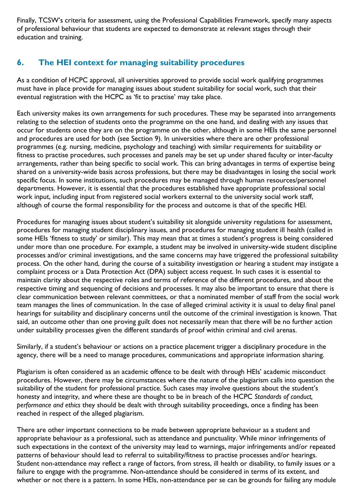Finally, TCSW's criteria for assessment, using the Professional Capabilities Framework, specify many aspects of professional behaviour that students are expected to demonstrate at relevant stages through their education and training.

# <span id="page-12-0"></span>**6. The HEI context for managing suitability procedures**

As a condition of HCPC approval, all universities approved to provide social work qualifying programmes must have in place provide for managing issues about student suitability for social work, such that their eventual registration with the HCPC as 'fit to practise' may take place.

Each university makes its own arrangements for such procedures. These may be separated into arrangements relating to the selection of students onto the programme on the one hand, and dealing with any issues that occur for students once they are on the programme on the other, although in some HEIs the same personnel and procedures are used for both (see Section 9). In universities where there are other professional programmes (e.g. nursing, medicine, psychology and teaching) with similar requirements for suitability or fitness to practise procedures, such processes and panels may be set up under shared faculty or inter-faculty arrangements, rather than being specific to social work. This can bring advantages in terms of expertise being shared on a university-wide basis across professions, but there may be disadvantages in losing the social work specific focus. In some institutions, such procedures may be managed through human resources/personnel departments. However, it is essential that the procedures established have appropriate professional social work input, including input from registered social workers external to the university social work staff, although of course the formal responsibility for the process and outcome is that of the specific HEI.

Procedures for managing issues about student's suitability sit alongside university regulations for assessment, procedures for managing student disciplinary issues, and procedures for managing student ill health (called in some HEIs 'fitness to study' or similar). This may mean that at times a student's progress is being considered under more than one procedure. For example, a student may be involved in university-wide student discipline processes and/or criminal investigations, and the same concerns may have triggered the professional suitability process. On the other hand, during the course of a suitability investigation or hearing a student may instigate a complaint process or a Data Protection Act (DPA) subject access request. In such cases it is essential to maintain clarity about the respective roles and terms of reference of the different procedures, and about the respective timing and sequencing of decisions and processes. It may also be important to ensure that there is clear communication between relevant committees, or that a nominated member of staff from the social work team manages the lines of communication. In the case of alleged criminal activity it is usual to delay final panel hearings for suitability and disciplinary concerns until the outcome of the criminal investigation is known. That said, an outcome other than one proving guilt does not necessarily mean that there will be no further action under suitability processes given the different standards of proof within criminal and civil arenas.

Similarly, if a student's behaviour or actions on a practice placement trigger a disciplinary procedure in the agency, there will be a need to manage procedures, communications and appropriate information sharing.

Plagiarism is often considered as an academic offence to be dealt with through HEIs' academic misconduct procedures. However, there may be circumstances where the nature of the plagiarism calls into question the suitability of the student for professional practice. Such cases may involve questions about the student's honesty and integrity, and where these are thought to be in breach of the HCPC *Standards of conduct, performance and ethics* they should be dealt with through suitability proceedings, once a finding has been reached in respect of the alleged plagiarism.

There are other important connections to be made between appropriate behaviour as a student and appropriate behaviour as a professional, such as attendance and punctuality. While minor infringements of such expectations in the context of the university may lead to warnings, major infringements and/or repeated patterns of behaviour should lead to referral to suitability/fitness to practise processes and/or hearings. Student non-attendance may reflect a range of factors, from stress, ill health or disability, to family issues or a failure to engage with the programme. Non-attendance should be considered in terms of its extent, and whether or not there is a pattern. In some HEIs, non-attendance per se can be grounds for failing any module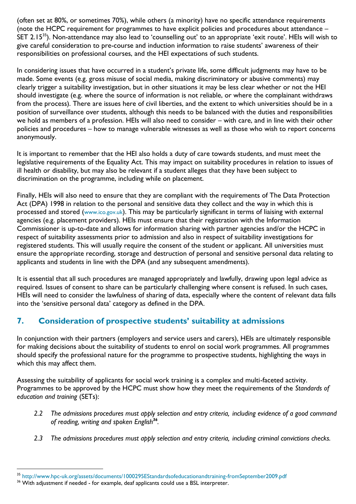(often set at 80%, or sometimes 70%), while others (a minority) have no specific attendance requirements (note the HCPC requirement for programmes to have explicit policies and procedures about attendance – SET 2.15<sup>35</sup>). Non-attendance may also lead to 'counselling out' to an appropriate 'exit route'. HEIs will wish to give careful consideration to pre-course and induction information to raise students' awareness of their responsibilities on professional courses, and the HEI expectations of such students.

In considering issues that have occurred in a student's private life, some difficult judgments may have to be made. Some events (e.g. gross misuse of social media, making discriminatory or abusive comments) may clearly trigger a suitability investigation, but in other situations it may be less clear whether or not the HEI should investigate (e.g. where the source of information is not reliable, or where the complainant withdraws from the process). There are issues here of civil liberties, and the extent to which universities should be in a position of surveillance over students, although this needs to be balanced with the duties and responsibilities we hold as members of a profession. HEIs will also need to consider – with care, and in line with their other policies and procedures – how to manage vulnerable witnesses as well as those who wish to report concerns anonymously.

It is important to remember that the HEI also holds a duty of care towards students, and must meet the legislative requirements of the Equality Act. This may impact on suitability procedures in relation to issues of ill health or disability, but may also be relevant if a student alleges that they have been subject to discrimination on the programme, including while on placement.

Finally, HEIs will also need to ensure that they are compliant with the requirements of The Data Protection Act (DPA) 1998 in relation to the personal and sensitive data they collect and the way in which this is processed and stored ([www.ico.gov.uk](http://www.ico.gov.uk/)). This may be particularly significant in terms of liaising with external agencies (e.g. placement providers). HEIs must ensure that their registration with the Information Commissioner is up-to-date and allows for information sharing with partner agencies and/or the HCPC in respect of suitability assessments prior to admission and also in respect of suitability investigations for registered students. This will usually require the consent of the student or applicant. All universities must ensure the appropriate recording, storage and destruction of personal and sensitive personal data relating to applicants and students in line with the DPA (and any subsequent amendments).

It is essential that all such procedures are managed appropriately and lawfully, drawing upon legal advice as required. Issues of consent to share can be particularly challenging where consent is refused. In such cases, HEIs will need to consider the lawfulness of sharing of data, especially where the content of relevant data falls into the 'sensitive personal data' category as defined in the DPA.

# <span id="page-13-0"></span>**7. Consideration of prospective students' suitability at admissions**

In conjunction with their partners (employers and service users and carers), HEIs are ultimately responsible for making decisions about the suitability of students to enrol on social work programmes. All programmes should specify the professional nature for the programme to prospective students, highlighting the ways in which this may affect them.

Assessing the suitability of applicants for social work training is a complex and multi-faceted activity. Programmes to be approved by the HCPC must show how they meet the requirements of the *Standards of education and training* (SETs):

- *2.2 The admissions procedures must apply selection and entry criteria, including evidence of a good command of reading, writing and spoken English<sup>36</sup> .*
- *2.3 The admissions procedures must apply selection and entry criteria, including criminal convictions checks.*

l <sup>35</sup> <http://www.hpc-uk.org/assets/documents/1000295EStandardsofeducationandtraining-fromSeptember2009.pdf>

<sup>&</sup>lt;sup>36</sup> With adjustment if needed - for example, deaf applicants could use a BSL interpreter.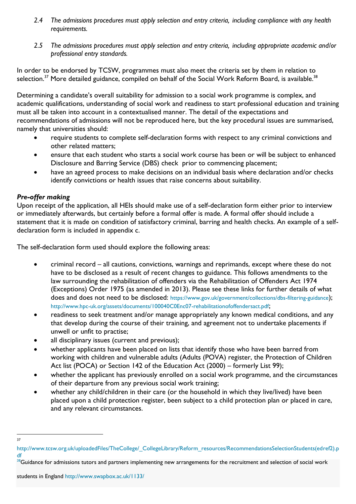- *2.4 The admissions procedures must apply selection and entry criteria, including compliance with any health requirements.*
- *2.5 The admissions procedures must apply selection and entry criteria, including appropriate academic and/or professional entry standards.*

In order to be endorsed by TCSW, programmes must also meet the criteria set by them in relation to selection.<sup>37</sup> More detailed guidance, compiled on behalf of the Social Work Reform Board, is available.<sup>38</sup>

Determining a candidate's overall suitability for admission to a social work programme is complex, and academic qualifications, understanding of social work and readiness to start professional education and training must all be taken into account in a contextualised manner. The detail of the expectations and recommendations of admissions will not be reproduced here, but the key procedural issues are summarised, namely that universities should:

- require students to complete self-declaration forms with respect to any criminal convictions and other related matters;
- ensure that each student who starts a social work course has been or will be subject to enhanced Disclosure and Barring Service (DBS) check prior to commencing placement;
- have an agreed process to make decisions on an individual basis where declaration and/or checks identify convictions or health issues that raise concerns about suitability.

### <span id="page-14-0"></span>*Pre-offer making*

Upon receipt of the application, all HEIs should make use of a self-declaration form either prior to interview or immediately afterwards, but certainly before a formal offer is made. A formal offer should include a statement that it is made on condition of satisfactory criminal, barring and health checks. An example of a selfdeclaration form is included in appendix c.

The self-declaration form used should explore the following areas:

- criminal record all cautions, convictions, warnings and reprimands, except where these do not have to be disclosed as a result of recent changes to guidance. This follows amendments to the law surrounding the rehabilitation of offenders via the Rehabilitation of Offenders Act 1974 (Exceptions) Order 1975 (as amended in 2013). Please see these links for further details of what does and does not need to be disclosed: <https://www.gov.uk/government/collections/dbs-filtering-guidance>); <http://www.hpc-uk.org/assets/documents/100040C0Enc07-rehabilitationofoffendersact.pdf>;
- readiness to seek treatment and/or manage appropriately any known medical conditions, and any that develop during the course of their training, and agreement not to undertake placements if unwell or unfit to practise;
- all disciplinary issues (current and previous);
- whether applicants have been placed on lists that identify those who have been barred from working with children and vulnerable adults (Adults (POVA) register, the Protection of Children Act list (POCA) or Section 142 of the Education Act (2000) – formerly List 99);
- whether the applicant has previously enrolled on a social work programme, and the circumstances of their departure from any previous social work training;
- whether any child/children in their care (or the household in which they live/lived) have been placed upon a child protection register, been subject to a child protection plan or placed in care, and any relevant circumstances.

 $\overline{a}$ 37

[http://www.tcsw.org.uk/uploadedFiles/TheCollege/\\_CollegeLibrary/Reform\\_resources/RecommendationsSelectionStudents\(edref2\).p](http://www.tcsw.org.uk/uploadedFiles/TheCollege/_CollegeLibrary/Reform_resources/RecommendationsSelectionStudents(edref2).pdf) [df](http://www.tcsw.org.uk/uploadedFiles/TheCollege/_CollegeLibrary/Reform_resources/RecommendationsSelectionStudents(edref2).pdf)

<sup>38</sup> Guidance for admissions tutors and partners implementing new arrangements for the recruitment and selection of social work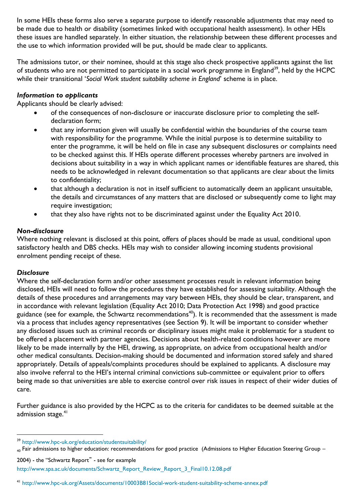In some HEIs these forms also serve a separate purpose to identify reasonable adjustments that may need to be made due to health or disability (sometimes linked with occupational health assessment). In other HEIs these issues are handled separately. In either situation, the relationship between these different processes and the use to which information provided will be put, should be made clear to applicants.

The admissions tutor, or their nominee, should at this stage also check prospective applicants against the list of students who are not permitted to participate in a social work programme in England<sup>39</sup>, held by the HCPC while their transitional '*Social Work student suitability scheme in England*' scheme is in place.

#### <span id="page-15-0"></span>*Information to applicants*

Applicants should be clearly advised:

- of the consequences of non-disclosure or inaccurate disclosure prior to completing the selfdeclaration form;
- that any information given will usually be confidential within the boundaries of the course team with responsibility for the programme. While the initial purpose is to determine suitability to enter the programme, it will be held on file in case any subsequent disclosures or complaints need to be checked against this. If HEIs operate different processes whereby partners are involved in decisions about suitability in a way in which applicant names or identifiable features are shared, this needs to be acknowledged in relevant documentation so that applicants are clear about the limits to confidentiality;
- that although a declaration is not in itself sufficient to automatically deem an applicant unsuitable, the details and circumstances of any matters that are disclosed or subsequently come to light may require investigation;
- that they also have rights not to be discriminated against under the Equality Act 2010.

#### <span id="page-15-1"></span>*Non-disclosure*

Where nothing relevant is disclosed at this point, offers of places should be made as usual, conditional upon satisfactory health and DBS checks. HEIs may wish to consider allowing incoming students provisional enrolment pending receipt of these.

#### <span id="page-15-2"></span>*Disclosure*

 $\overline{a}$ 

Where the self-declaration form and/or other assessment processes result in relevant information being disclosed, HEIs will need to follow the procedures they have established for assessing suitability. Although the details of these procedures and arrangements may vary between HEIs, they should be clear, transparent, and in accordance with relevant legislation (Equality Act 2010; Data Protection Act 1998) and good practice guidance (see for example, the Schwartz recommendations<sup>40</sup>). It is recommended that the assessment is made via a process that includes agency representatives (see Section 9). It will be important to consider whether any disclosed issues such as criminal records or disciplinary issues might make it problematic for a student to be offered a placement with partner agencies. Decisions about health-related conditions however are more likely to be made internally by the HEI, drawing, as appropriate, on advice from occupational health and/or other medical consultants. Decision-making should be documented and information stored safely and shared appropriately. Details of appeals/complaints procedures should be explained to applicants. A disclosure may also involve referral to the HEI's internal criminal convictions sub-committee or equivalent prior to offers being made so that universities are able to exercise control over risk issues in respect of their wider duties of care.

Further guidance is also provided by the HCPC as to the criteria for candidates to be deemed suitable at the admission stage.<sup>41</sup>

<sup>39</sup> <http://www.hpc-uk.org/education/studentsuitability/>

 $_{40}$  Fair admissions to higher education: recommendations for good practice (Admissions to Higher Education Steering Group –

<sup>2004) -</sup> the "Schwartz Report" - see for example [http://www.spa.ac.uk/documents/Schwartz\\_Report\\_Review\\_Report\\_3\\_Final10.12.08.pdf](http://www.spa.ac.uk/documents/Schwartz_Report_Review_Report_3_Final10.12.08.pdf)

<sup>41</sup> <http://www.hpc-uk.org/Assets/documents/10003B81Social-work-student-suitability-scheme-annex.pdf>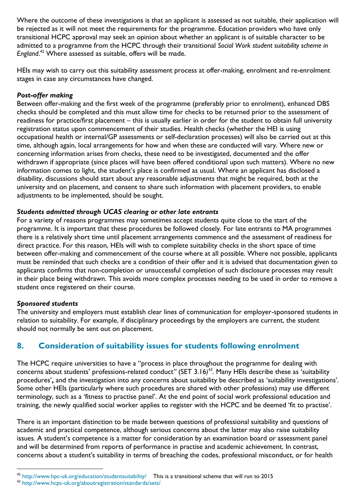Where the outcome of these investigations is that an applicant is assessed as not suitable, their application will be rejected as it will not meet the requirements for the programme. Education providers who have only transitional HCPC approval may seek an opinion about whether an applicant is of suitable character to be admitted to a programme from the HCPC through their transitional *Social Work student suitability scheme in England*. <sup>42</sup> Where assessed as suitable, offers will be made.

HEIs may wish to carry out this suitability assessment process at offer-making, enrolment and re-enrolment stages in case any circumstances have changed.

#### <span id="page-16-0"></span>*Post-offer making*

Between offer-making and the first week of the programme (preferably prior to enrolment), enhanced DBS checks should be completed and this must allow time for checks to be returned prior to the assessment of readiness for practice/first placement – this is usually earlier in order for the student to obtain full university registration status upon commencement of their studies. Health checks (whether the HEI is using occupational health or internal/GP assessments or self-declaration processes) will also be carried out at this time, although again, local arrangements for how and when these are conducted will vary. Where new or concerning information arises from checks, these need to be investigated, documented and the offer withdrawn if appropriate (since places will have been offered conditional upon such matters). Where no new information comes to light, the student's place is confirmed as usual. Where an applicant has disclosed a disability, discussions should start about any reasonable adjustments that might be required, both at the university and on placement, and consent to share such information with placement providers, to enable adjustments to be implemented, should be sought.

#### <span id="page-16-1"></span>*Students admitted through UCAS clearing or other late entrants*

For a variety of reasons programmes may sometimes accept students quite close to the start of the programme. It is important that these procedures be followed closely. For late entrants to MA programmes there is a relatively short time until placement arrangements commence and the assessment of readiness for direct practice. For this reason, HEIs will wish to complete suitability checks in the short space of time between offer-making and commencement of the course where at all possible. Where not possible, applicants must be reminded that such checks are a condition of their offer and it is advised that documentation given to applicants confirms that non-completion or unsuccessful completion of such disclosure processes may result in their place being withdrawn. This avoids more complex processes needing to be used in order to remove a student once registered on their course.

#### <span id="page-16-2"></span>*Sponsored students*

The university and employers must establish clear lines of communication for employer-sponsored students in relation to suitability. For example, if disciplinary proceedings by the employers are current, the student should not normally be sent out on placement.

### <span id="page-16-3"></span>**8. Consideration of suitability issues for students following enrolment**

The HCPC require universities to have a "process in place throughout the programme for dealing with concerns about students' professions-related conduct*"* (SET 3.16*) 43 .* Many HEIs describe these as 'suitability procedures'**,** and the investigation into any concerns about suitability be described as 'suitability investigations'. Some other HEIs (particularly where such procedures are shared with other professions) may use different terminology, such as a 'fitness to practise panel'. At the end point of social work professional education and training, the newly qualified social worker applies to register with the HCPC and be deemed 'fit to practise'.

There is an important distinction to be made between questions of professional suitability and questions of academic and practical competence, although serious concerns about the latter may also raise suitability issues. A student's competence is a matter for consideration by an examination board or assessment panel and will be determined from reports of performance in practise and academic achievement. In contrast, concerns about a student's suitability in terms of breaching the codes, professional misconduct, or for health

l <sup>42</sup> <http://www.hpc-uk.org/education/studentsuitability/>This is a transitional scheme that will run to 2015

<sup>43</sup> http://www.hcpc-uk.org/aboutregistration/standards/sets/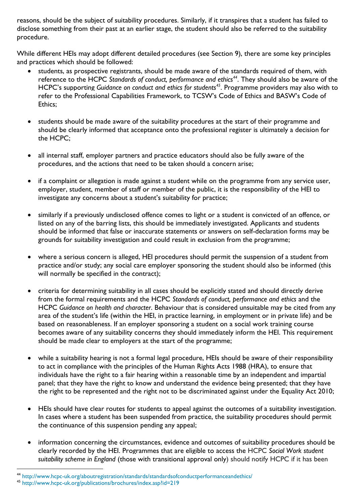reasons, should be the subject of suitability procedures. Similarly, if it transpires that a student has failed to disclose something from their past at an earlier stage, the student should also be referred to the suitability procedure.

While different HEIs may adopt different detailed procedures (see Section 9), there are some key principles and practices which should be followed:

- students, as prospective registrants, should be made aware of the standards required of them, with reference to the HCPC *Standards of conduct, performance and ethics<sup>44</sup>*. They should also be aware of the HCPC's supporting *Guidance on conduct and ethics for students<sup>45</sup>*. Programme providers may also with to refer to the Professional Capabilities Framework, to TCSW's Code of Ethics and BASW's Code of Ethics;
- students should be made aware of the suitability procedures at the start of their programme and should be clearly informed that acceptance onto the professional register is ultimately a decision for the HCPC;
- all internal staff, employer partners and practice educators should also be fully aware of the procedures, and the actions that need to be taken should a concern arise;
- if a complaint or allegation is made against a student while on the programme from any service user, employer, student, member of staff or member of the public, it is the responsibility of the HEI to investigate any concerns about a student's suitability for practice;
- similarly if a previously undisclosed offence comes to light or a student is convicted of an offence, or listed on any of the barring lists, this should be immediately investigated. Applicants and students should be informed that false or inaccurate statements or answers on self-declaration forms may be grounds for suitability investigation and could result in exclusion from the programme;
- where a serious concern is alleged, HEI procedures should permit the suspension of a student from practice and/or study; any social care employer sponsoring the student should also be informed (this will normally be specified in the contract);
- criteria for determining suitability in all cases should be explicitly stated and should directly derive from the formal requirements and the HCPC *Standards of conduct, performance and ethics* and the HCPC *Guidance on health and character*. Behaviour that is considered unsuitable may be cited from any area of the student's life (within the HEI, in practice learning, in employment or in private life) and be based on reasonableness. If an employer sponsoring a student on a social work training course becomes aware of any suitability concerns they should immediately inform the HEI. This requirement should be made clear to employers at the start of the programme;
- while a suitability hearing is not a formal legal procedure, HEIs should be aware of their responsibility to act in compliance with the principles of the Human Rights Acts 1988 (HRA), to ensure that individuals have the right to a fair hearing within a reasonable time by an independent and impartial panel; that they have the right to know and understand the evidence being presented; that they have the right to be represented and the right not to be discriminated against under the Equality Act 2010;
- HEIs should have clear routes for students to appeal against the outcomes of a suitability investigation. In cases where a student has been suspended from practice, the suitability procedures should permit the continuance of this suspension pending any appeal;
- information concerning the circumstances, evidence and outcomes of suitability procedures should be clearly recorded by the HEI. Programmes that are eligible to access the HCPC *Social Work student suitability scheme in England* (those with transitional approval only) should notify HCPC if it has been

l

<sup>44</sup> http://www.hcpc-uk.org/aboutregistration/standards/standardsofconductperformanceandethics/

<sup>45</sup> http://www.hcpc-uk.org/publications/brochures/index.asp?id=219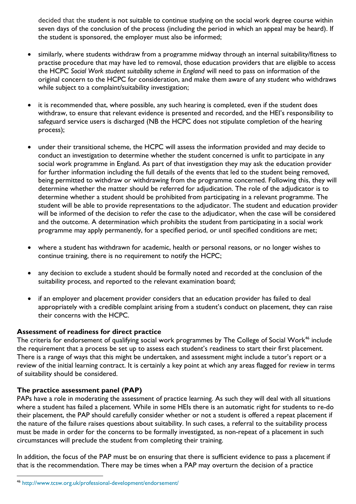decided that the student is not suitable to continue studying on the social work degree course within seven days of the conclusion of the process (including the period in which an appeal may be heard). If the student is sponsored, the employer must also be informed;

- similarly, where students withdraw from a programme midway through an internal suitability/fitness to practise procedure that may have led to removal, those education providers that are eligible to access the HCPC *Social Work student suitability scheme in England* will need to pass on information of the original concern to the HCPC for consideration, and make them aware of any student who withdraws while subject to a complaint/suitability investigation;
- it is recommended that, where possible, any such hearing is completed, even if the student does withdraw, to ensure that relevant evidence is presented and recorded, and the HEI's responsibility to safeguard service users is discharged (NB the HCPC does not stipulate completion of the hearing process);
- under their transitional scheme, the HCPC will assess the information provided and may decide to conduct an investigation to determine whether the student concerned is unfit to participate in any social work programme in England. As part of that investigation they may ask the education provider for further information including the full details of the events that led to the student being removed, being permitted to withdraw or withdrawing from the programme concerned. Following this, they will determine whether the matter should be referred for adjudication. The role of the adjudicator is to determine whether a student should be prohibited from participating in a relevant programme. The student will be able to provide representations to the adjudicator. The student and education provider will be informed of the decision to refer the case to the adjudicator, when the case will be considered and the outcome. A determination which prohibits the student from participating in a social work programme may apply permanently, for a specified period, or until specified conditions are met;
- where a student has withdrawn for academic, health or personal reasons, or no longer wishes to continue training, there is no requirement to notify the HCPC;
- any decision to exclude a student should be formally noted and recorded at the conclusion of the suitability process, and reported to the relevant examination board;
- if an employer and placement provider considers that an education provider has failed to deal appropriately with a credible complaint arising from a student's conduct on placement, they can raise their concerns with the HCPC.

#### **Assessment of readiness for direct practice**

The criteria for endorsement of qualifying social work programmes by The College of Social Work<sup>46</sup> include the requirement that a process be set up to assess each student's readiness to start their first placement. There is a range of ways that this might be undertaken, and assessment might include a tutor's report or a review of the initial learning contract. It is certainly a key point at which any areas flagged for review in terms of suitability should be considered.

#### **The practice assessment panel (PAP)**

l

PAPs have a role in moderating the assessment of practice learning. As such they will deal with all situations where a student has failed a placement. While in some HEIs there is an automatic right for students to re-do their placement, the PAP should carefully consider whether or not a student is offered a repeat placement if the nature of the failure raises questions about suitability. In such cases, a referral to the suitability process must be made in order for the concerns to be formally investigated, as non-repeat of a placement in such circumstances will preclude the student from completing their training.

In addition, the focus of the PAP must be on ensuring that there is sufficient evidence to pass a placement if that is the recommendation. There may be times when a PAP may overturn the decision of a practice

<sup>46</sup> http://www.tcsw.org.uk/professional-development/endorsement/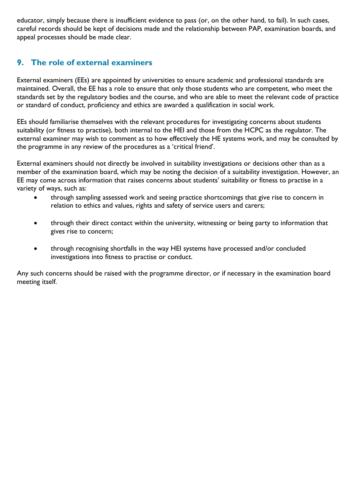educator, simply because there is insufficient evidence to pass (or, on the other hand, to fail). In such cases, careful records should be kept of decisions made and the relationship between PAP, examination boards, and appeal processes should be made clear.

## <span id="page-19-0"></span>**9. The role of external examiners**

External examiners (EEs) are appointed by universities to ensure academic and professional standards are maintained. Overall, the EE has a role to ensure that only those students who are competent, who meet the standards set by the regulatory bodies and the course, and who are able to meet the relevant code of practice or standard of conduct, proficiency and ethics are awarded a qualification in social work.

EEs should familiarise themselves with the relevant procedures for investigating concerns about students suitability (or fitness to practise), both internal to the HEI and those from the HCPC as the regulator. The external examiner may wish to comment as to how effectively the HE systems work, and may be consulted by the programme in any review of the procedures as a 'critical friend'.

External examiners should not directly be involved in suitability investigations or decisions other than as a member of the examination board, which may be noting the decision of a suitability investigation. However, an EE may come across information that raises concerns about students' suitability or fitness to practise in a variety of ways, such as:

- through sampling assessed work and seeing practice shortcomings that give rise to concern in relation to ethics and values, rights and safety of service users and carers;
- through their direct contact within the university, witnessing or being party to information that gives rise to concern;
- through recognising shortfalls in the way HEI systems have processed and/or concluded investigations into fitness to practise or conduct.

Any such concerns should be raised with the programme director, or if necessary in the examination board meeting itself.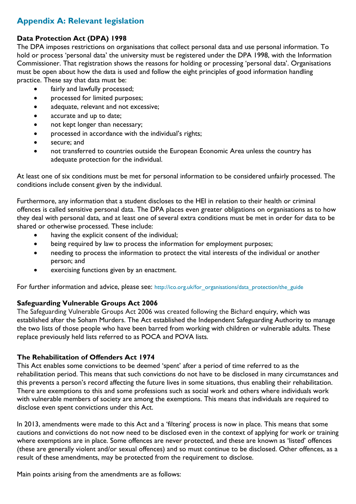# <span id="page-20-0"></span>**Appendix A: Relevant legislation**

#### **Data Protection Act (DPA) 1998**

The DPA imposes restrictions on organisations that collect personal data and use personal information. To hold or process 'personal data' the university must be registered under the DPA 1998, with the Information Commissioner. That registration shows the reasons for holding or processing 'personal data'. Organisations must be open about how the data is used and follow the eight principles of good information handling practice. These say that data must be:

- fairly and lawfully processed;
- processed for limited purposes;
- adequate, relevant and not excessive;
- accurate and up to date;
- not kept longer than necessary;
- processed in accordance with the individual's rights;
- secure; and
- not transferred to countries outside the European Economic Area unless the country has adequate protection for the individual.

At least one of six conditions must be met for personal information to be considered unfairly processed. The conditions include consent given by the individual.

Furthermore, any information that a student discloses to the HEI in relation to their health or criminal offences is called sensitive personal data. The DPA places even greater obligations on organisations as to how they deal with personal data, and at least one of several extra conditions must be met in order for data to be shared or otherwise processed. These include:

- having the explicit consent of the individual;
- being required by law to process the information for employment purposes;
- needing to process the information to protect the vital interests of the individual or another person; and
- exercising functions given by an enactment.

For further information and advice, please see: [http://ico.org.uk/for\\_organisations/data\\_protection/the\\_guide](http://ico.org.uk/for_organisations/data_protection/the_guide)

#### **Safeguarding Vulnerable Groups Act 2006**

The Safeguarding Vulnerable Groups Act 2006 was created following the Bichard enquiry, which was established after the [Soham Murders.](http://en.wikipedia.org/wiki/Soham_Murders) The Act established the [Independent Safeguarding Authority](http://en.wikipedia.org/wiki/Independent_Safeguarding_Authority) to manage the two lists of those people who have been barred from working with children or vulnerable adults. These replace previously held lists referred to as POCA and POVA lists.

#### **The Rehabilitation of Offenders Act 1974**

This Act enables some convictions to be deemed 'spent' after a period of time referred to as the rehabilitation period. This means that such convictions do not have to be disclosed in many circumstances and this prevents a person's record affecting the future lives in some situations, thus enabling their rehabilitation. There are exemptions to this and some professions such as social work and others where individuals work with vulnerable members of society are among the exemptions. This means that individuals are required to disclose even spent convictions under this Act.

In 2013, amendments were made to this Act and a 'filtering' process is now in place. This means that some cautions and convictions do not now need to be disclosed even in the context of applying for work or training where exemptions are in place. Some offences are never protected, and these are known as 'listed' offences (these are generally violent and/or sexual offences) and so must continue to be disclosed. Other offences, as a result of these amendments, may be protected from the requirement to disclose.

Main points arising from the amendments are as follows: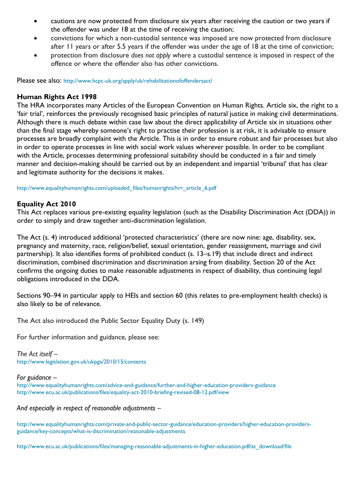- cautions are now protected from disclosure six years after receiving the caution or two years if the offender was under 18 at the time of receiving the caution;
- convictions for which a non-custodial sentence was imposed are now protected from disclosure after 11 years or after 5.5 years if the offender was under the age of 18 at the time of conviction;
- protection from disclosure *does not apply* where a custodial sentence is imposed in respect of the offence or where the offender also has other convictions.

Please see also: <http://www.hcpc-uk.org/apply/uk/rehabilitationofoffendersact/>

#### **Human Rights Act 1998**

The HRA incorporates many Articles of the European Convention on Human Rights. Article six, the right to a 'fair trial', reinforces the previously recognised basic principles of natural justice in making civil determinations. Although there is much debate within case law about the direct applicability of Article six in situations other than the final stage whereby someone's right to practise their profession is at risk, it is advisable to ensure processes are broadly complaint with the Article. This is in order to ensure robust and fair processes but also in order to operate processes in line with social work values wherever possible. In order to be compliant with the Article, processes determining professional suitability should be conducted in a fair and timely manner and decision-making should be carried out by an independent and impartial 'tribunal' that has clear and legitimate authority for the decisions it makes.

[http://www.equalityhumanrights.com/uploaded\\_files/humanrights/hrr\\_article\\_6.pdf](http://www.equalityhumanrights.com/uploaded_files/humanrights/hrr_article_6.pdf)

#### **Equality Act 2010**

This Act replaces various pre-existing equality legislation (such as the Disability Discrimination Act (DDA)) in order to simply and draw together anti-discrimination legislation.

The Act (s. 4) introduced additional 'protected characteristics' (there are now nine: age, disability, sex, pregnancy and maternity, race, religion/belief, sexual orientation, gender reassignment, marriage and civil partnership). It also identifies forms of prohibited conduct (s. 13–s.19) that include direct and indirect discrimination, combined discrimination and discrimination arsing from disability. Section 20 of the Act confirms the ongoing duties to make reasonable adjustments in respect of disability, thus continuing legal obligations introduced in the DDA.

Sections 90–94 in particular apply to HEIs and section 60 (this relates to pre-employment health checks) is also likely to be of relevance.

The Act also introduced the Public Sector Equality Duty (s. 149)

For further information and guidance, please see:

*The Act itself –* <http://www.legislation.gov.uk/ukpga/2010/15/contents>

#### *For guidance –*

<http://www.equalityhumanrights.com/advice-and-guidance/further-and-higher-education-providers-guidance> <http://www.ecu.ac.uk/publications/files/equality-act-2010-briefing-revised-08-12.pdf/view>

*And especially in respect of reasonable adjustments –*

[http://www.equalityhumanrights.com/private-and-public-sector-guidance/education-providers/higher-education-providers](http://www.equalityhumanrights.com/private-and-public-sector-guidance/education-providers/higher-education-providers-guidance/key-concepts/what-is-discrimination/reasonable-adjustments)[guidance/key-concepts/what-is-discrimination/reasonable-adjustments](http://www.equalityhumanrights.com/private-and-public-sector-guidance/education-providers/higher-education-providers-guidance/key-concepts/what-is-discrimination/reasonable-adjustments)

[http://www.ecu.ac.uk/publications/files/managing-reasonable-adjustments-in-higher-education.pdf/at\\_download/file](http://www.ecu.ac.uk/publications/files/managing-reasonable-adjustments-in-higher-education.pdf/at_download/file)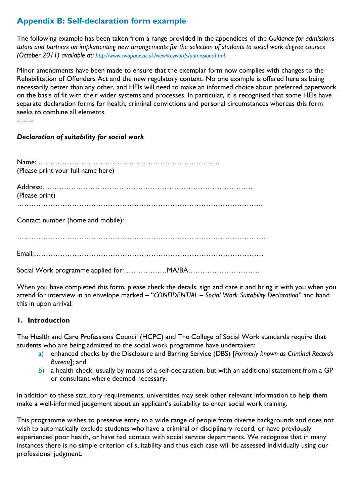# <span id="page-22-0"></span>**Appendix B: Self-declaration form example**

The following example has been taken from a range provided in the appendices of the *[Guidance for admissions](http://www.swapbox.ac.uk/1133/)  tutors and partners on implementing [new arrangements for the selection of students to social work degree courses](http://www.swapbox.ac.uk/1133/) (October 2011) available at: [http://www.swapbox.ac.uk/view/keywords/admissions.html.](http://www.swapbox.ac.uk/view/keywords/admissions.html)*

Minor amendments have been made to ensure that the exemplar form now complies with changes to the Rehabilitation of Offenders Act and the new regulatory context. No one example is offered here as being necessarily better than any other, and HEIs will need to make an informed choice about preferred paperwork on the basis of fit with their wider systems and processes. In particular, it is recognised that some HEIs have separate declaration forms for health, criminal convictions and personal circumstances whereas this form seeks to combine all elements.

-------

### *Declaration of suitability for social work*

Name: …………………………………………………………………. (Please print your full name here) Address:…………………………………………………………………………….. (Please print) …………………………………………………………………………………………. Contact number (home and mobile): …………………………………………………………………………………………… Email:……………………………………………………………………………………

Social Work programme applied for:………………MA/BA…………………………

When you have completed this form, please check the details, sign and date it and bring it with you when you attend for interview in an envelope marked – "*CONFIDENTIAL – Social Work Suitability Declaration*" and hand this in upon arrival.

### **1. Introduction**

The Health and Care Professions Council (HCPC) and The College of Social Work standards require that students who are being admitted to the social work programme have undertaken:

- a) enhanced checks by the Disclosure and Barring Service (DBS) [*Formerly known as Criminal Records Bureau*]; and
- b) a health check, usually by means of a self-declaration, but with an additional statement from a GP or consultant where deemed necessary.

In addition to these statutory requirements, universities may seek other relevant information to help them make a well-informed judgement about an applicant's suitability to enter social work training.

This programme wishes to preserve entry to a wide range of people from diverse backgrounds and does not wish to automatically exclude students who have a criminal or disciplinary record, or have previously experienced poor health, or have had contact with social service departments. We recognise that in many instances there is no simple criterion of suitability and thus each case will be assessed individually using our professional judgment.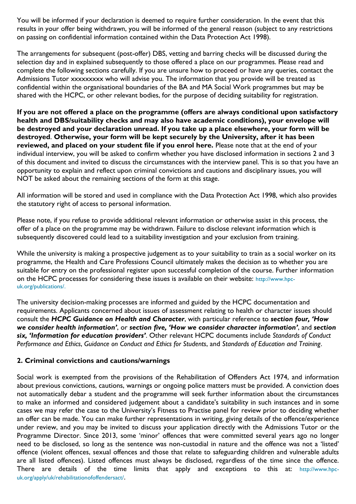You will be informed if your declaration is deemed to require further consideration. In the event that this results in your offer being withdrawn, you will be informed of the general reason (subject to any restrictions on passing on confidential information contained within the Data Protection Act 1998).

The arrangements for subsequent (post-offer) DBS, vetting and barring checks will be discussed during the selection day and in explained subsequently to those offered a place on our programmes. Please read and complete the following sections carefully. If you are unsure how to proceed or have any queries, contact the Admissions Tutor xxxxxxxx who will advise you. The information that you provide will be treated as confidential within the organisational boundaries of the BA and MA Social Work programmes but may be shared with the HCPC, or other relevant bodies, for the purpose of deciding suitability for registration.

**If you are not offered a place on the programme (offers are always conditional upon satisfactory health and DBS/suitability checks and may also have academic conditions), your envelope will be destroyed and your declaration unread. If you take up a place elsewhere, your form will be destroyed**. **Otherwise, your form will be kept securely by the University, after it has been reviewed, and placed on your student file if you enrol here.** Please note that at the end of your individual interview, you will be asked to confirm whether you have disclosed information in sections 2 and 3 of this document and invited to discuss the circumstances with the interview panel. This is so that you have an opportunity to explain and reflect upon criminal convictions and cautions and disciplinary issues, you will NOT be asked about the remaining sections of the form at this stage.

All information will be stored and used in compliance with the Data Protection Act 1998, which also provides the statutory right of access to personal information.

Please note, if you refuse to provide additional relevant information or otherwise assist in this process, the offer of a place on the programme may be withdrawn. Failure to disclose relevant information which is subsequently discovered could lead to a suitability investigation and your exclusion from training.

While the university is making a prospective judgement as to your suitability to train as a social worker on its programme, the Health and Care Professions Council ultimately makes the decision as to whether you are suitable for entry on the professional register upon successful completion of the course. Further information on the HCPC processes for considering these issues is available on their website: [http://www.hpc](http://www.hpc-uk.org/publications/)[uk.org/publications/.](http://www.hpc-uk.org/publications/)

The university decision-making processes are informed and guided by the HCPC documentation and requirements. Applicants concerned about issues of assessment relating to health or character issues should consult the *HCPC Guidance on Health and Character*, with particular reference to *section four, 'How we consider health information'*, or *section five, 'How we consider character information'*, and *section six, 'Information for education providers'*. Other relevant HCPC documents include *Standards of Conduct Performance and Ethics*, *Guidance on Conduct and Ethics for Students*, and *Standards of Education and Training*.

#### **2. Criminal convictions and cautions/warnings**

Social work is exempted from the provisions of the Rehabilitation of Offenders Act 1974, and information about previous convictions, cautions, warnings or ongoing police matters must be provided. A conviction does not automatically debar a student and the programme will seek further information about the circumstances to make an informed and considered judgement about a candidate's suitability in such instances and in some cases we may refer the case to the University's Fitness to Practise panel for review prior to deciding whether an offer can be made. You can make further representations in writing, giving details of the offence/experience under review, and you may be invited to discuss your application directly with the Admissions Tutor or the Programme Director. Since 2013, some 'minor' offences that were committed several years ago no longer need to be disclosed, so long as the sentence was non-custodial in nature and the offence was not a 'listed' offence (violent offences, sexual offences and those that relate to safeguarding children and vulnerable adults are all listed offences). Listed offences must always be disclosed, regardless of the time since the offence. There are details of the time limits that apply and exceptions to this at: [http://www.hpc](http://www.hpc-uk.org/apply/uk/rehabilitationofoffendersact/)[uk.org/apply/uk/rehabilitationofoffendersact/](http://www.hpc-uk.org/apply/uk/rehabilitationofoffendersact/).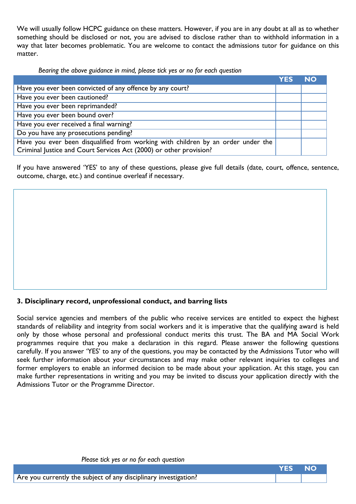We will usually follow HCPC guidance on these matters. However, if you are in any doubt at all as to whether something should be disclosed or not, you are advised to disclose rather than to withhold information in a way that later becomes problematic. You are welcome to contact the admissions tutor for guidance on this matter.

*Bearing the above guidance in mind, please tick yes or no for each question*

|                                                                                  | <b>YFS</b> | <b>NO</b> |
|----------------------------------------------------------------------------------|------------|-----------|
| Have you ever been convicted of any offence by any court?                        |            |           |
| Have you ever been cautioned?                                                    |            |           |
| Have you ever been reprimanded?                                                  |            |           |
| Have you ever been bound over?                                                   |            |           |
| Have you ever received a final warning?                                          |            |           |
| Do you have any prosecutions pending?                                            |            |           |
| Have you ever been disqualified from working with children by an order under the |            |           |
| Criminal Justice and Court Services Act (2000) or other provision?               |            |           |

If you have answered 'YES' to any of these questions, please give full details (date, court, offence, sentence, outcome, charge, etc.) and continue overleaf if necessary.

### **3. Disciplinary record, unprofessional conduct, and barring lists**

Social service agencies and members of the public who receive services are entitled to expect the highest standards of reliability and integrity from social workers and it is imperative that the qualifying award is held only by those whose personal and professional conduct merits this trust. The BA and MA Social Work programmes require that you make a declaration in this regard. Please answer the following questions carefully. If you answer 'YES' to any of the questions, you may be contacted by the Admissions Tutor who will seek further information about your circumstances and may make other relevant inquiries to colleges and former employers to enable an informed decision to be made about your application. At this stage, you can make further representations in writing and you may be invited to discuss your application directly with the Admissions Tutor or the Programme Director.

| Please tick yes or no for each question |  |  |  |
|-----------------------------------------|--|--|--|
|-----------------------------------------|--|--|--|

|                                                                  | <b>YES NO</b> |  |
|------------------------------------------------------------------|---------------|--|
| Are you currently the subject of any disciplinary investigation? |               |  |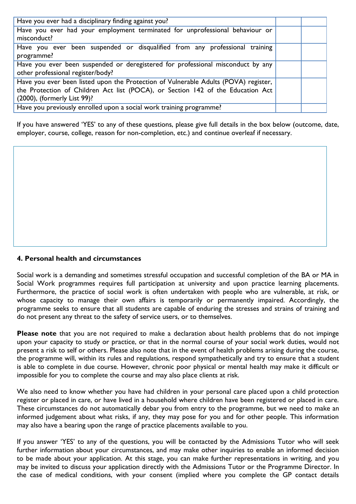| Have you ever had a disciplinary finding against you?                                                                                                                                                 |  |
|-------------------------------------------------------------------------------------------------------------------------------------------------------------------------------------------------------|--|
| Have you ever had your employment terminated for unprofessional behaviour or<br>misconduct?                                                                                                           |  |
| Have you ever been suspended or disqualified from any professional training<br>programme?                                                                                                             |  |
| Have you ever been suspended or deregistered for professional misconduct by any<br>other professional register/body?                                                                                  |  |
| Have you ever been listed upon the Protection of Vulnerable Adults (POVA) register,<br>the Protection of Children Act list (POCA), or Section 142 of the Education Act<br>(2000), (formerly List 99)? |  |
| Have you previously enrolled upon a social work training programme?                                                                                                                                   |  |

If you have answered 'YES' to any of these questions, please give full details in the box below (outcome, date, employer, course, college, reason for non-completion, etc.) and continue overleaf if necessary.

#### **4. Personal health and circumstances**

Social work is a demanding and sometimes stressful occupation and successful completion of the BA or MA in Social Work programmes requires full participation at university and upon practice learning placements. Furthermore, the practice of social work is often undertaken with people who are vulnerable, at risk, or whose capacity to manage their own affairs is temporarily or permanently impaired. Accordingly, the programme seeks to ensure that all students are capable of enduring the stresses and strains of training and do not present any threat to the safety of service users, or to themselves.

**Please note** that you are not required to make a declaration about health problems that do not impinge upon your capacity to study or practice, or that in the normal course of your social work duties, would not present a risk to self or others. Please also note that in the event of health problems arising during the course, the programme will, within its rules and regulations, respond sympathetically and try to ensure that a student is able to complete in due course. However, chronic poor physical or mental health may make it difficult or impossible for you to complete the course and may also place clients at risk.

We also need to know whether you have had children in your personal care placed upon a child protection register or placed in care, or have lived in a household where children have been registered or placed in care. These circumstances do not automatically debar you from entry to the programme, but we need to make an informed judgement about what risks, if any, they may pose for you and for other people. This information may also have a bearing upon the range of practice placements available to you.

If you answer 'YES' to any of the questions, you will be contacted by the Admissions Tutor who will seek further information about your circumstances, and may make other inquiries to enable an informed decision to be made about your application. At this stage, you can make further representations in writing, and you may be invited to discuss your application directly with the Admissions Tutor or the Programme Director. In the case of medical conditions, with your consent (implied where you complete the GP contact details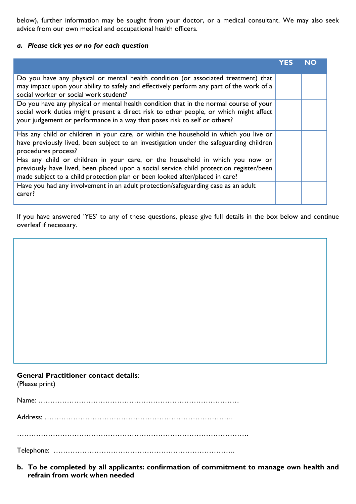below), further information may be sought from your doctor, or a medical consultant. We may also seek advice from our own medical and occupational health officers.

#### *a. Please tick yes or no for each question*

|                                                                                                                                                                                                                                                             | YFS | NO |
|-------------------------------------------------------------------------------------------------------------------------------------------------------------------------------------------------------------------------------------------------------------|-----|----|
| Do you have any physical or mental health condition (or associated treatment) that<br>may impact upon your ability to safely and effectively perform any part of the work of a<br>social worker or social work student?                                     |     |    |
| Do you have any physical or mental health condition that in the normal course of your<br>social work duties might present a direct risk to other people, or which might affect<br>your judgement or performance in a way that poses risk to self or others? |     |    |
| Has any child or children in your care, or within the household in which you live or<br>have previously lived, been subject to an investigation under the safeguarding children<br>procedures process?                                                      |     |    |
| Has any child or children in your care, or the household in which you now or<br>previously have lived, been placed upon a social service child protection register/been<br>made subject to a child protection plan or been looked after/placed in care?     |     |    |
| Have you had any involvement in an adult protection/safeguarding case as an adult<br>carer?                                                                                                                                                                 |     |    |

If you have answered 'YES' to any of these questions, please give full details in the box below and continue overleaf if necessary.

#### **General Practitioner contact details**:

(Please print)

Name: …………………………………………………………………………

Address: …………………………………………………………………….

…………………………………………………………………………………….

Telephone: ………………………………………………………………….

**b. To be completed by all applicants: confirmation of commitment to manage own health and refrain from work when needed**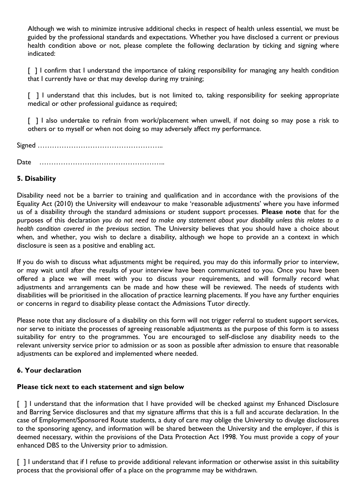Although we wish to minimize intrusive additional checks in respect of health unless essential, we must be guided by the professional standards and expectations. Whether you have disclosed a current or previous health condition above or not, please complete the following declaration by ticking and signing where indicated:

[ ] I confirm that I understand the importance of taking responsibility for managing any health condition that I currently have or that may develop during my training;

[ ] I understand that this includes, but is not limited to, taking responsibility for seeking appropriate medical or other professional guidance as required;

[ ] I also undertake to refrain from work/placement when unwell, if not doing so may pose a risk to others or to myself or when not doing so may adversely affect my performance.

Signed ……………………………………………..

Date ……………………………………………..

#### **5. Disability**

Disability need not be a barrier to training and qualification and in accordance with the provisions of the Equality Act (2010) the University will endeavour to make 'reasonable adjustments' where you have informed us of a disability through the standard admissions or student support processes. **Please note** that for the purposes of this declaration *you do not need to make any statement about your disability unless this relates to a health condition covered in the previous section.* The University believes that you should have a choice about when, and whether, you wish to declare a disability, although we hope to provide an a context in which disclosure is seen as a positive and enabling act.

If you do wish to discuss what adjustments might be required, you may do this informally prior to interview, or may wait until after the results of your interview have been communicated to you. Once you have been offered a place we will meet with you to discuss your requirements, and will formally record what adjustments and arrangements can be made and how these will be reviewed. The needs of students with disabilities will be prioritised in the allocation of practice learning placements. If you have any further enquiries or concerns in regard to disability please contact the Admissions Tutor directly.

Please note that any disclosure of a disability on this form will not trigger referral to student support services, nor serve to initiate the processes of agreeing reasonable adjustments as the purpose of this form is to assess suitability for entry to the programmes. You are encouraged to self-disclose any disability needs to the relevant university service prior to admission or as soon as possible after admission to ensure that reasonable adjustments can be explored and implemented where needed.

#### **6. Your declaration**

#### **Please tick next to each statement and sign below**

[ ] I understand that the information that I have provided will be checked against my Enhanced Disclosure and Barring Service disclosures and that my signature affirms that this is a full and accurate declaration. In the case of Employment/Sponsored Route students, a duty of care may oblige the University to divulge disclosures to the sponsoring agency, and information will be shared between the University and the employer, if this is deemed necessary, within the provisions of the Data Protection Act 1998. You must provide a copy of your enhanced DBS to the University prior to admission.

[ ] I understand that if I refuse to provide additional relevant information or otherwise assist in this suitability process that the provisional offer of a place on the programme may be withdrawn.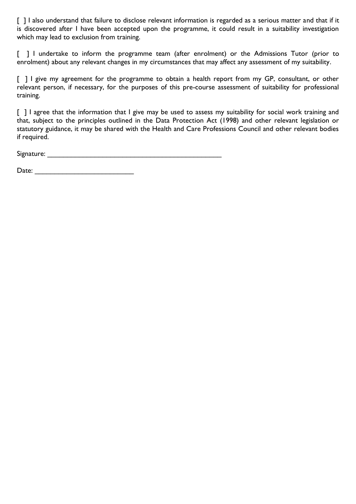[ ] I also understand that failure to disclose relevant information is regarded as a serious matter and that if it is discovered after I have been accepted upon the programme, it could result in a suitability investigation which may lead to exclusion from training.

[ ] I undertake to inform the programme team (after enrolment) or the Admissions Tutor (prior to enrolment) about any relevant changes in my circumstances that may affect any assessment of my suitability.

[ ] I give my agreement for the programme to obtain a health report from my GP, consultant, or other relevant person, if necessary, for the purposes of this pre-course assessment of suitability for professional training.

[ ] I agree that the information that I give may be used to assess my suitability for social work training and that, subject to the principles outlined in the Data Protection Act (1998) and other relevant legislation or statutory guidance, it may be shared with the Health and Care Professions Council and other relevant bodies if required.

Signature: \_\_\_\_\_\_\_\_\_\_\_\_\_\_\_\_\_\_\_\_\_\_\_\_\_\_\_\_\_\_\_\_\_\_\_\_\_\_\_\_\_\_\_\_

Date: \_\_\_\_\_\_\_\_\_\_\_\_\_\_\_\_\_\_\_\_\_\_\_\_\_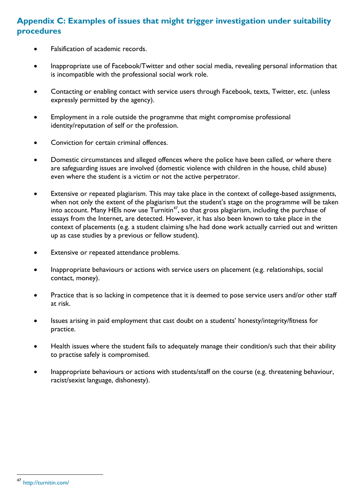### <span id="page-29-0"></span>**Appendix C: Examples of issues that might trigger investigation under suitability procedures**

- Falsification of academic records.
- Inappropriate use of Facebook/Twitter and other social media, revealing personal information that is incompatible with the professional social work role.
- Contacting or enabling contact with service users through Facebook, texts, Twitter, etc. (unless expressly permitted by the agency).
- Employment in a role outside the programme that might compromise professional identity/reputation of self or the profession.
- Conviction for certain criminal offences.
- Domestic circumstances and alleged offences where the police have been called, or where there are safeguarding issues are involved (domestic violence with children in the house, child abuse) even where the student is a victim or not the active perpetrator.
- Extensive or repeated plagiarism. This may take place in the context of college-based assignments, when not only the extent of the plagiarism but the student's stage on the programme will be taken into account. Many HEIs now use  $Turnitin<sup>47</sup>$ , so that gross plagiarism, including the purchase of essays from the Internet, are detected. However, it has also been known to take place in the context of placements (e.g. a student claiming s/he had done work actually carried out and written up as case studies by a previous or fellow student).
- Extensive or repeated attendance problems.
- Inappropriate behaviours or actions with service users on placement (e.g. relationships, social contact, money).
- Practice that is so lacking in competence that it is deemed to pose service users and/or other staff at risk.
- Issues arising in paid employment that cast doubt on a students' honesty/integrity/fitness for practice.
- Health issues where the student fails to adequately manage their condition/s such that their ability to practise safely is compromised.
- Inappropriate behaviours or actions with students/staff on the course (e.g. threatening behaviour, racist/sexist language, dishonesty).

l

<http://turnitin.com/>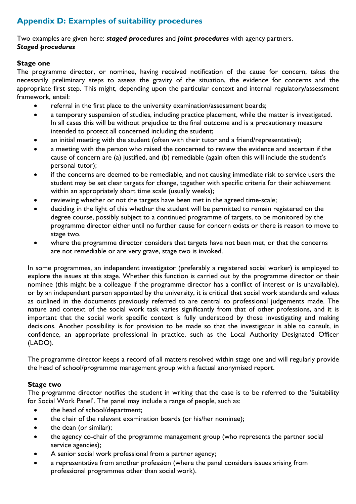# <span id="page-30-0"></span>**Appendix D: Examples of suitability procedures**

#### <span id="page-30-2"></span><span id="page-30-1"></span>Two examples are given here: *staged procedures* and *joint procedures* with agency partners. *Staged procedures*

#### **Stage one**

The programme director, or nominee, having received notification of the cause for concern, takes the necessarily preliminary steps to assess the gravity of the situation, the evidence for concerns and the appropriate first step. This might, depending upon the particular context and internal regulatory/assessment framework, entail:

- referral in the first place to the university examination/assessment boards;
- a temporary suspension of studies, including practice placement, while the matter is investigated. In all cases this will be without prejudice to the final outcome and is a precautionary measure intended to protect all concerned including the student;
- an initial meeting with the student (often with their tutor and a friend/representative);
- a meeting with the person who raised the concerned to review the evidence and ascertain if the cause of concern are (a) justified, and (b) remediable (again often this will include the student's personal tutor);
- if the concerns are deemed to be remediable, and not causing immediate risk to service users the student may be set clear targets for change, together with specific criteria for their achievement within an appropriately short time scale (usually weeks);
- reviewing whether or not the targets have been met in the agreed time-scale;
- deciding in the light of this whether the student will be permitted to remain registered on the degree course, possibly subject to a continued programme of targets, to be monitored by the programme director either until no further cause for concern exists or there is reason to move to stage two.
- where the programme director considers that targets have not been met, or that the concerns are not remediable or are very grave, stage two is invoked.

In some programmes, an independent investigator (preferably a registered social worker) is employed to explore the issues at this stage. Whether this function is carried out by the programme director or their nominee (this might be a colleague if the programme director has a conflict of interest or is unavailable), or by an independent person appointed by the university, it is critical that social work standards and values as outlined in the documents previously referred to are central to professional judgements made. The nature and context of the social work task varies significantly from that of other professions, and it is important that the social work specific context is fully understood by those investigating and making decisions. Another possibility is for provision to be made so that the investigator is able to consult, in confidence, an appropriate professional in practice, such as the Local Authority Designated Officer (LADO).

The programme director keeps a record of all matters resolved within stage one and will regularly provide the head of school/programme management group with a factual anonymised report.

### **Stage two**

The programme director notifies the student in writing that the case is to be referred to the 'Suitability for Social Work Panel'. The panel may include a range of people, such as:

- the head of school/department;
- the chair of the relevant examination boards (or his/her nominee);
- the dean (or similar);
- the agency co-chair of the programme management group (who represents the partner social service agencies);
- A senior social work professional from a partner agency;
- a representative from another profession (where the panel considers issues arising from professional programmes other than social work).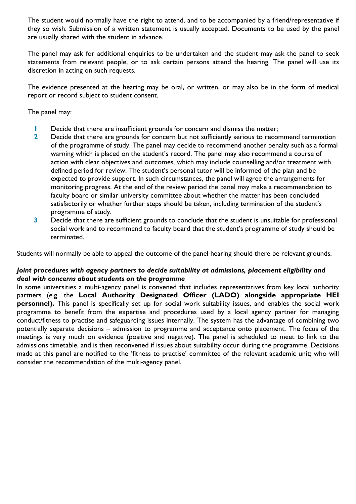The student would normally have the right to attend, and to be accompanied by a friend/representative if they so wish. Submission of a written statement is usually accepted. Documents to be used by the panel are usually shared with the student in advance.

The panel may ask for additional enquiries to be undertaken and the student may ask the panel to seek statements from relevant people, or to ask certain persons attend the hearing. The panel will use its discretion in acting on such requests.

The evidence presented at the hearing may be oral, or written, or may also be in the form of medical report or record subject to student consent.

The panel may:

- **1** Decide that there are insufficient grounds for concern and dismiss the matter;
- **2** Decide that there are grounds for concern but not sufficiently serious to recommend termination of the programme of study. The panel may decide to recommend another penalty such as a formal warning which is placed on the student's record. The panel may also recommend a course of action with clear objectives and outcomes, which may include counselling and/or treatment with defined period for review. The student's personal tutor will be informed of the plan and be expected to provide support. In such circumstances, the panel will agree the arrangements for monitoring progress. At the end of the review period the panel may make a recommendation to faculty board or similar university committee about whether the matter has been concluded satisfactorily or whether further steps should be taken, including termination of the student's programme of study.
- **3** Decide that there are sufficient grounds to conclude that the student is unsuitable for professional social work and to recommend to faculty board that the student's programme of study should be terminated.

Students will normally be able to appeal the outcome of the panel hearing should there be relevant grounds.

#### <span id="page-31-0"></span>*Joint procedures with agency partners to decide suitability at admissions, placement eligibility and deal with concerns about students on the programme*

In some universities a multi-agency panel is convened that includes representatives from key local authority partners (e.g. the **Local Authority Designated Officer (LADO) alongside appropriate HEI personnel).** This panel is specifically set up for social work suitability issues, and enables the social work programme to benefit from the expertise and procedures used by a local agency partner for managing conduct/fitness to practise and safeguarding issues internally. The system has the advantage of combining two potentially separate decisions – admission to programme and acceptance onto placement. The focus of the meetings is very much on evidence (positive and negative). The panel is scheduled to meet to link to the admissions timetable, and is then reconvened if issues about suitability occur during the programme. Decisions made at this panel are notified to the 'fitness to practise' committee of the relevant academic unit; who will consider the recommendation of the multi-agency panel.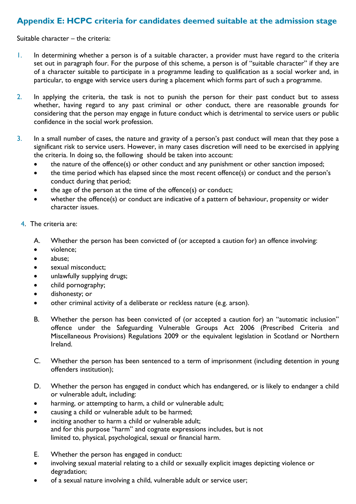# <span id="page-32-0"></span>**Appendix E: HCPC criteria for candidates deemed suitable at the admission stage**

Suitable character – the criteria:

- 1. In determining whether a person is of a suitable character, a provider must have regard to the criteria set out in paragraph four. For the purpose of this scheme, a person is of "suitable character" if they are of a character suitable to participate in a programme leading to qualification as a social worker and, in particular, to engage with service users during a placement which forms part of such a programme.
- 2. In applying the criteria, the task is not to punish the person for their past conduct but to assess whether, having regard to any past criminal or other conduct, there are reasonable grounds for considering that the person may engage in future conduct which is detrimental to service users or public confidence in the social work profession.
- 3. In a small number of cases, the nature and gravity of a person's past conduct will mean that they pose a significant risk to service users. However, in many cases discretion will need to be exercised in applying the criteria. In doing so, the following should be taken into account:
	- the nature of the offence(s) or other conduct and any punishment or other sanction imposed;
	- the time period which has elapsed since the most recent offence(s) or conduct and the person's conduct during that period;
	- the age of the person at the time of the offence(s) or conduct;
	- whether the offence(s) or conduct are indicative of a pattern of behaviour, propensity or wider character issues.
	- 4. The criteria are:
		- A. Whether the person has been convicted of (or accepted a caution for) an offence involving:
		- violence;
		- abuse;
		- sexual misconduct;
		- unlawfully supplying drugs;
		- child pornography;
		- dishonesty; or
		- other criminal activity of a deliberate or reckless nature (e.g. arson).
		- B. Whether the person has been convicted of (or accepted a caution for) an "automatic inclusion" offence under the Safeguarding Vulnerable Groups Act 2006 (Prescribed Criteria and Miscellaneous Provisions) Regulations 2009 or the equivalent legislation in Scotland or Northern Ireland.
		- C. Whether the person has been sentenced to a term of imprisonment (including detention in young offenders institution);
		- D. Whether the person has engaged in conduct which has endangered, or is likely to endanger a child or vulnerable adult, including:
		- harming, or attempting to harm, a child or vulnerable adult;
		- causing a child or vulnerable adult to be harmed;
		- inciting another to harm a child or vulnerable adult; and for this purpose "harm" and cognate expressions includes, but is not limited to, physical, psychological, sexual or financial harm.
		- E. Whether the person has engaged in conduct:
		- involving sexual material relating to a child or sexually explicit images depicting violence or degradation;
		- of a sexual nature involving a child, vulnerable adult or service user;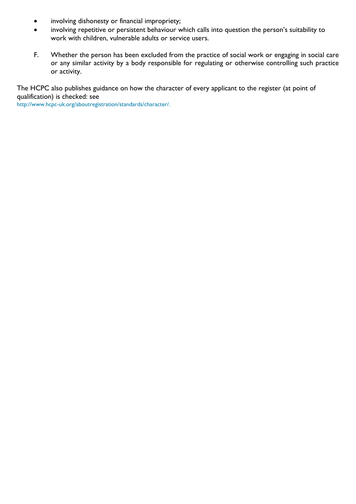- involving dishonesty or financial impropriety;
- involving repetitive or persistent behaviour which calls into question the person's suitability to work with children, vulnerable adults or service users.
- F. Whether the person has been excluded from the practice of social work or engaging in social care or any similar activity by a body responsible for regulating or otherwise controlling such practice or activity.

The HCPC also publishes guidance on how the character of every applicant to the register (at point of qualification) is checked: see

[http://www.hcpc-uk.org/aboutregistration/standards/character/.](http://www.hcpc-uk.org/aboutregistration/standards/character/)